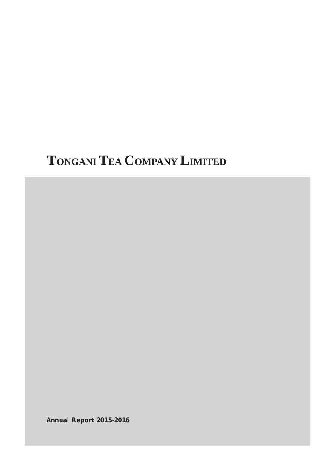# **TONGANI TEA COMPANY LIMITED**

*Annual Report 2015-2016*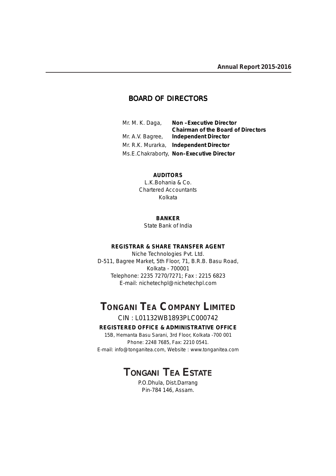# BOARD OF BOARD OF DIRECTORS

Mr. M. K. Daga, *Non –Executive Director Chairman of the Board of Directors* Mr. A.V. Bagree, *Independent Director* Mr. R.K. Murarka, *Independent Director* Ms.E.Chakraborty, *Non–Executive Director*

# **AUDITORS**

L.K.Bohania & Co. *Chartered Accountants Kolkata*

**BANKER** State Bank of India

# **REGISTRAR & SHARE TRANSFER AGENT**

Niche Technologies Pvt. Ltd. D-511, Bagree Market, 5th Floor, 71, B.R.B. Basu Road, Kolkata - 700001 Telephone: 2235 7270/7271; Fax : 2215 6823 E-mail: nichetechpl@nichetechpl.com

# **TONGANI TEA COMPANY LIMITED**

# CIN : L01132WB1893PLC000742

# **REGISTERED OFFICE & ADMINISTRATIVE OFFICE**

15B, Hemanta Basu Sarani, 3rd Floor, Kolkata -700 001 Phone: 2248 7685, Fax: 2210 0541. E-mail: info@tonganitea.com, Website : www.tonganitea.com

# TONGANI TEA ESTATE

P.O.Dhula, Dist.Darrang Pin-784 146, Assam.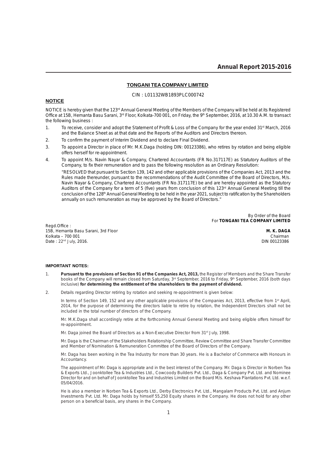#### **TONGANI TEA COMPANY LIMITED**

CIN : L01132WB1893PLC000742

#### **NOTICE**

NOTICE is hereby given that the 123<sup>rd</sup> Annual General Meeting of the Members of the Company will be held at its Registered Office at 15B, Hemanta Basu Sarani,  $3^{rd}$  Floor, Kolkata-700 001, on Friday, the 9<sup>th</sup> September, 2016, at 10.30 A.M. to transact the following business :

- 1. To receive, consider and adopt the Statement of Profit & Loss of the Company for the year ended 31<sup>st</sup> March, 2016 and the Balance Sheet as at that date and the Reports of the Auditors and Directors thereon.
- 2. To confirm the payment of Interim Dividend and to declare Final Dividend.
- 3. To appoint a Director in place of Mr. M.K.Daga (holding DIN: 00123386), who retires by rotation and being eligible offers herself for re-appointment.
- 4. To appoint M/s. Navin Nayar & Company, Chartered Accountants (FR No.317117E) as Statutory Auditors of the Company, to fix their remuneration and to pass the following resolution as an Ordinary Resolution:

"RESOLVED that pursuant to Section 139, 142 and other applicable provisions of the Companies Act, 2013 and the Rules made thereunder, pursuant to the recommendations of the Audit Committee of the Board of Directors, M/s. Navin Nayar & Company, Chartered Accountants (FR No.317117E) be and are hereby appointed as the Statutory Auditors of the Company for a term of 5 (five) years from conclusion of this 123<sup>rd</sup> Annual General Meeting till the conclusion of the 128<sup>th</sup> Annual General Meeting to be held in the year 2021, subject to ratification by the Shareholders annually on such remuneration as may be approved by the Board of Directors."

> By Order of the Board For **TONGANI TEA COMPANY LIMITED**

Read.Office: 15B, Hemanta Basu Sarani, 3rd Floor **M. K. DAGA** Kolkata – 700 001 *Chairman* Date: 22<sup>nd</sup> July, 2016.

#### **IMPORTANT NOTES:**

- 1. *Pursuant to the provisions of Section 91 of the Companies Act, 2013,* the Register of Members and the Share Transfer books of the Company will remain closed from Saturday, 3<sup>rd</sup> September, 2016 to Friday, 9<sup>th</sup> September, 2016 (both days inclusive) *for determining the entitlement of the shareholders to the payment of dividend.*
- 2. Details regarding Director retiring by rotation and seeking re-appointment is given below:

In terms of Section 149, 152 and any other applicable provisions of the Companies Act, 2013, effective from 1st April, 2014, for the purpose of determining the directors liable to retire by rotation, the Independent Directors shall not be included in the total number of directors of the Company.

Mr. M.K.Daga shall accordingly retire at the forthcoming Annual General Meeting and being eligible offers himself for re-appointment.

Mr. Daga joined the Board of Directors as a Non-Executive Director from 31st July, 1998.

Mr. Daga is the Chairman of the Stakeholders Relationship Committee, Review Committee and Share Transfer Committee and Member of Nomination & Remuneration Committee of the Board of Directors of the Company.

Mr. Daga has been working in the Tea Industry for more than 30 years. He is a Bachelor of Commerce with Honours in Accountancy.

The appointment of Mr. Daga is appropriate and in the best interest of the Company. Mr. Daga is Director in Norben Tea & Exports Ltd., Joonktollee Tea & Industries Ltd., Cowcoody Builders Pvt. Ltd., Daga & Company Pvt. Ltd. and Nominee Director for and on behalf of Joonktollee Tea and Industries Limited on the Board M/s. Keshava Plantations Pvt. Ltd. w.e.f. 05/04/2016.

He is also a member in Norben Tea & Exports Ltd., Derby Electronics Pvt. Ltd., Mangalam Products Pvt. Ltd. and Anjum Investments Pvt. Ltd. Mr. Daga holds by himself 55,250 Equity shares in the Company. He does not hold for any other person on a beneficial basis, any shares in the Company.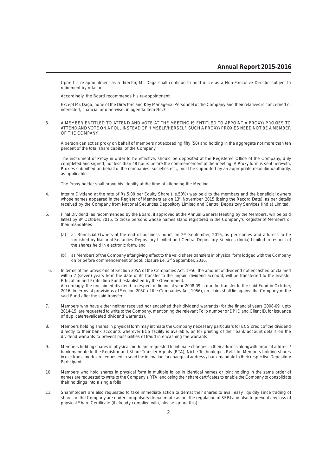Upon his re-appointment as a director, Mr. Daga shall continue to hold office as a Non-Executive Director subject to retirement by rotation.

Accordingly, the Board recommends his re-appointment.

Except Mr. Daga, none of the Directors and Key Managerial Personnel of the Company and their relatives is concerned or interested, financial or otherwise, in agenda Item No.3.

3. A MEMBER ENTITLED TO ATTEND AND VOTE AT THE MEETING IS ENTITLED TO APPOINT A PROXY/ PROXIES TO ATTEND AND VOTE ON A POLL INSTEAD OF HIMSELF/HERSELF. SUCH A PROXY/ PROXIES NEED NOT BE A MEMBER OF THE COMPANY.

A person can act as proxy on behalf of members not exceeding fifty (50) and holding in the aggregate not more than ten percent of the total share capital of the Company.

The instrument of Proxy in order to be effective, should be deposited at the Registered Office of the Company, duly completed and signed, not less than 48 hours before the commencement of the meeting. A Proxy form is sent herewith. Proxies submitted on behalf of the companies, societies etc., must be supported by an appropriate resolution/authority, as applicable.

The Proxy-holder shall prove his identity at the time of attending the Meeting.

- 4. Interim Dividend at the rate of Rs.5.00 per Equity Share (i.e.50%) was paid to the members and the beneficial owners whose names appeared in the Register of Members as on 13<sup>th</sup> November, 2015 (being the Record Date), as per details received by the Company from National Securities Depository Limited and Central Depository Services (India) Limited.
- 5. Final Dividend, as recommended by the Board, if approved at the Annual General Meeting by the Members, will be paid latest by 8<sup>th</sup> October, 2016, to those persons whose names stand registered in the Company's Register of Members or their mandatees :
	- (a) as Beneficial Owners at the end of business hours on  $2^{nd}$  September, 2016, as per names and address to be furnished by National Securities Depository Limited and Central Depository Services (India) Limited in respect of the shares held in electronic form, and
	- as Members of the Company after giving effect to the valid share transfers in physical form lodged with the Company on or before commencement of book closure i.e. 3rd September, 2016.
- 6. In terms of the provisions of Section 205A of the Companies Act, 1956, the amount of dividend not encashed or claimed within 7 (seven) years from the date of its transfer to the unpaid dividend account, will be transferred to the Investor Education and Protection Fund established by the Government. Accordingly, the unclaimed dividend in respect of financial year 2008-09 is due for transfer to the said Fund in October, 2016. In terms of provisions of Section 205C of the Companies Act, 1956), no claim shall lie against the Company or the said Fund after the said transfer.
- 7. Members who have either neither received nor encashed their dividend warrant(s) for the financial years 2008-09 upto 2014-15, are requested to write to the Company, mentioning the relevant Folio number or DP ID and Client ID, for issuance of duplicate/revalidated dividend warrant(s).
- 8. Members holding shares in physical form may intimate the Company necessary particulars for ECS credit of the dividend directly to their bank accounts wherever ECS facility is available, or, for printing of their bank account details on the dividend warrants to prevent possibilities of fraud in encashing the warrants.
- 9. Members holding shares in physical mode are requested to intimate changes in their address alongwith proof of address/ bank mandate to the Registrar and Share Transfer Agents (RTA), Niche Technologies Pvt. Ltd. Members holding shares in electronic mode are requested to send the intimation for change of address / bank mandate to their respective Depository Participant.
- 10. Members who hold shares in physical form in multiple folios in identical names or joint holding in the same order of names are requested to write to the Company's RTA, enclosing their share certificates to enable the Company to consolidate their holdings into a single folio.
- 11. Shareholders are also requested to take immediate action to demat their shares to avail easy liquidity since trading of shares of the Company are under compulsory demat mode as per the regulation of SEBI and also to prevent any loss of physical Share Certificate (if already complied with, please ignore this).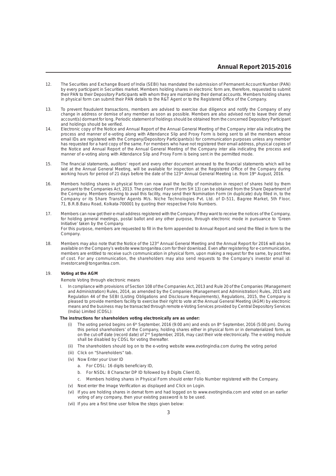- 12. The Securities and Exchange Board of India (SEBI) has mandated the submission of Permanent Account Number (PAN) by every participant in Securities market. Members holding shares in electronic form are, therefore, requested to submit their PAN to their Depository Participants with whom they are maintaining their demat accounts. Members holding shares in physical form can submit their PAN details to the R&T Agent or to the Registered Office of the Company.
- 13. To prevent fraudulent transactions, members are advised to exercise due diligence and notify the Company of any change in address or demise of any member as soon as possible. Members are also advised not to leave their demat account(s) dormant for long. Periodic statement of holdings should be obtained from the concerned Depository Participant and holdings should be verified.
- 14. Electronic copy of the Notice and Annual Report of the Annual General Meeting of the Company inter alia indicating the process and manner of e-voting along with Attendance Slip and Proxy Form is being sent to all the members whose email IDs are registered with the Company/Depository Participants(s) for communication purposes unless any member has requested for a hard copy of the same. For members who have not registered their email address, physical copies of the Notice and Annual Report of the Annual General Meeting of the Company inter alia indicating the process and manner of e-voting along with Attendance Slip and Proxy Form is being sent in the permitted mode.
- 15. The financial statements, auditors' report and every other document annexed to the financial statements which will be laid at the Annual General Meeting, will be available for inspection at the Registered Office of the Company during working hours for period of 21 days before the date of the 123<sup>rd</sup> Annual General Meeting i.e. from 19<sup>th</sup> August, 2016.
- 16. Members holding shares in physical form can now avail the facility of nomination in respect of shares held by them pursuant to the Companies Act, 2013. The prescribed Form (Form SH 13) can be obtained from the Share Department of the Company. Members desiring to avail this facility, may send their Nomination Form (in duplicate) duly filled in, to the Company or its Share Transfer Agents M/s. Niche Technologies Pvt. Ltd. of D-511, Bagree Market, 5th Floor, 71, B.R.B.Basu Road, Kolkata-700001 by quoting their respective Folio Numbers.
- 17. Members can now get their e-mail address registered with the Company if they want to receive the notices of the Company, for holding general meetings, postal ballot and any other purpose, through electronic mode in pursuance to 'Green Initiative' taken by the Company. For this purpose, members are requested to fill in the form appended to Annual Report and send the filled in form to the **Company**
- 18. Members may also note that the Notice of the 123rd Annual General Meeting and the Annual Report for 2016 will also be available on the Company's website www.tonganitea.com for their download. Even after registering for e-communication, members are entitled to receive such communication in physical form, upon making a request for the same, by post free of cost. For any communication, the shareholders may also send requests to the Company's investor email id: investorcare@tonganitea.com.

#### 19. **Voting at the AGM**

Remote Voting through electronic means

I. In compliance with provisions of Section 108 of the Companies Act, 2013 and Rule 20 of the Companies (Management and Administration) Rules, 2014, as amended by the Companies (Management and Administration) Rules, 2015 and Regulation 44 of the SEBI (Listing Obligations and Disclosure Requirements), Regulations, 2015, the Company is pleased to provide members facility to exercise their right to vote at the Annual General Meeting (AGM) by electronic means and the business may be transacted through remote e-Voting Services provided by Central Depository Services (India) Limited (CDSL):

#### **The instructions for shareholders voting electronically are as under:**

- (i) The voting period begins on  $6<sup>th</sup>$  September, 2016 (9:00 am) and ends on  $8<sup>th</sup>$  September, 2016 (5:00 pm). During this period shareholders' of the Company, holding shares either in physical form or in dematerialized form, as on the cut-off date (record date) of 2<sup>nd</sup> September, 2016, may cast their vote electronically. The e-voting module shall be disabled by CDSL for voting thereafter.
- (ii) The shareholders should log on to the e-voting website www.evotingindia.com during the voting period
- (iii) Click on "Shareholders" tab.
- (iv) Now Enter your User ID
	- a. For CDSL: 16 digits beneficiary ID,
	- b. For NSDL: 8 Character DP ID followed by 8 Digits Client ID,
	- c. Members holding shares in Physical Form should enter Folio Number registered with the Company.
- (v) Next enter the Image Verification as displayed and Click on Login.
- (vi) If you are holding shares in demat form and had logged on to www.evotingindia.com and voted on an earlier voting of any company, then your existing password is to be used.
- (vii) If you are a first time user follow the steps given below: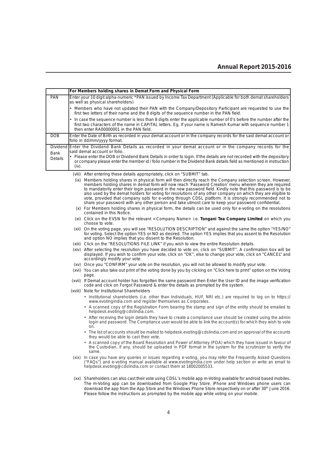|                 |                                                                                                                                                                                                                                                                               | For Members holding shares in Demat Form and Physical Form                                                                                                                                                                                                                                                                                                                                                                                                                                                                                                                                                                                                             |  |  |  |  |  |  |
|-----------------|-------------------------------------------------------------------------------------------------------------------------------------------------------------------------------------------------------------------------------------------------------------------------------|------------------------------------------------------------------------------------------------------------------------------------------------------------------------------------------------------------------------------------------------------------------------------------------------------------------------------------------------------------------------------------------------------------------------------------------------------------------------------------------------------------------------------------------------------------------------------------------------------------------------------------------------------------------------|--|--|--|--|--|--|
| PAN             |                                                                                                                                                                                                                                                                               | Enter your 10 digit alpha-numeric *PAN issued by Income Tax Department (Applicable for both demat shareholders<br>as well as physical shareholders)                                                                                                                                                                                                                                                                                                                                                                                                                                                                                                                    |  |  |  |  |  |  |
|                 | • Members who have not updated their PAN with the Company/Depository Participant are requested to use the<br>first two letters of their name and the 8 digits of the sequence number in the PAN field.                                                                        |                                                                                                                                                                                                                                                                                                                                                                                                                                                                                                                                                                                                                                                                        |  |  |  |  |  |  |
|                 | • In case the sequence number is less than 8 digits enter the applicable number of 0's before the number after the<br>first two characters of the name in CAPITAL letters. Eq. If your name is Ramesh Kumar with sequence number 1<br>then enter RA00000001 in the PAN field. |                                                                                                                                                                                                                                                                                                                                                                                                                                                                                                                                                                                                                                                                        |  |  |  |  |  |  |
| <b>DOB</b>      |                                                                                                                                                                                                                                                                               | Enter the Date of Birth as recorded in your demat account or in the company records for the said demat account or<br>folio in dd/mm/yyyy format.                                                                                                                                                                                                                                                                                                                                                                                                                                                                                                                       |  |  |  |  |  |  |
|                 |                                                                                                                                                                                                                                                                               | Dividend Enter the Dividend Bank Details as recorded in your demat account or in the company records for the                                                                                                                                                                                                                                                                                                                                                                                                                                                                                                                                                           |  |  |  |  |  |  |
| Bank<br>Details | (iv).                                                                                                                                                                                                                                                                         | said demat account or folio.<br>• Please enter the DOB or Dividend Bank Details in order to login. If the details are not recorded with the depository<br>or company please enter the member id / folio number in the Dividend Bank details field as mentioned in instruction                                                                                                                                                                                                                                                                                                                                                                                          |  |  |  |  |  |  |
|                 |                                                                                                                                                                                                                                                                               | (viii) After entering these details appropriately, click on "SUBMIT" tab.                                                                                                                                                                                                                                                                                                                                                                                                                                                                                                                                                                                              |  |  |  |  |  |  |
|                 |                                                                                                                                                                                                                                                                               | (ix) Members holding shares in physical form will then directly reach the Company selection screen. However,<br>members holding shares in demat form will now reach 'Password Creation' menu wherein they are required<br>to mandatorily enter their login password in the new password field. Kindly note that this password is to be<br>also used by the demat holders for voting for resolutions of any other company on which they are eligible to<br>vote, provided that company opts for e-voting through CDSL platform. It is strongly recommended not to<br>share your password with any other person and take utmost care to keep your password confidential. |  |  |  |  |  |  |
|                 |                                                                                                                                                                                                                                                                               | (x) For Members holding shares in physical form, the details can be used only for e-voting on the resolutions<br>contained in this Notice.                                                                                                                                                                                                                                                                                                                                                                                                                                                                                                                             |  |  |  |  |  |  |
|                 |                                                                                                                                                                                                                                                                               | (xi) Click on the EVSN for the relevant < Company Name> i.e. <b>Tongani Tea Company Limited</b> on which you<br>choose to vote.                                                                                                                                                                                                                                                                                                                                                                                                                                                                                                                                        |  |  |  |  |  |  |
|                 |                                                                                                                                                                                                                                                                               | (xii) On the voting page, you will see "RESOLUTION DESCRIPTION" and against the same the option "YES/NO"<br>for voting. Select the option YES or NO as desired. The option YES implies that you assent to the Resolution<br>and option NO implies that you dissent to the Resolution.                                                                                                                                                                                                                                                                                                                                                                                  |  |  |  |  |  |  |
|                 |                                                                                                                                                                                                                                                                               | (xiii) Click on the "RESOLUTIONS FILE LINK" if you wish to view the entire Resolution details.                                                                                                                                                                                                                                                                                                                                                                                                                                                                                                                                                                         |  |  |  |  |  |  |
|                 |                                                                                                                                                                                                                                                                               | (xiv) After selecting the resolution you have decided to vote on, click on "SUBMIT". A confirmation box will be<br>displayed. If you wish to confirm your vote, click on "OK", else to change your vote, click on "CANCEL" and<br>accordingly modify your vote.                                                                                                                                                                                                                                                                                                                                                                                                        |  |  |  |  |  |  |
|                 |                                                                                                                                                                                                                                                                               | (xv) Once you "CONFIRM" your vote on the resolution, you will not be allowed to modify your vote.                                                                                                                                                                                                                                                                                                                                                                                                                                                                                                                                                                      |  |  |  |  |  |  |
|                 |                                                                                                                                                                                                                                                                               | (xvi) You can also take out print of the voting done by you by clicking on "Click here to print" option on the Voting<br>page.                                                                                                                                                                                                                                                                                                                                                                                                                                                                                                                                         |  |  |  |  |  |  |
|                 |                                                                                                                                                                                                                                                                               | (xvii) If Demat account holder has forgotten the same password then Enter the User ID and the image verification<br>code and click on Forgot Password & enter the details as prompted by the system.                                                                                                                                                                                                                                                                                                                                                                                                                                                                   |  |  |  |  |  |  |
|                 |                                                                                                                                                                                                                                                                               | (xviii) Note for Institutional Shareholders                                                                                                                                                                                                                                                                                                                                                                                                                                                                                                                                                                                                                            |  |  |  |  |  |  |
|                 |                                                                                                                                                                                                                                                                               | • Institutional shareholders (i.e. other than Individuals, HUF, NRI etc.) are required to log on to https://<br>www.evotingindia.com and register themselves as Corporates.                                                                                                                                                                                                                                                                                                                                                                                                                                                                                            |  |  |  |  |  |  |
|                 |                                                                                                                                                                                                                                                                               | • A scanned copy of the Registration Form bearing the stamp and sign of the entity should be emailed to<br>helpdesk.evoting@cdslindia.com.                                                                                                                                                                                                                                                                                                                                                                                                                                                                                                                             |  |  |  |  |  |  |
|                 |                                                                                                                                                                                                                                                                               | • After receiving the login details they have to create a compliance user should be created using the admin<br>login and password. The Compliance user would be able to link the account(s) for which they wish to vote<br>on.                                                                                                                                                                                                                                                                                                                                                                                                                                         |  |  |  |  |  |  |
|                 |                                                                                                                                                                                                                                                                               | The list of accounts should be mailed to helpdesk.evoting@cdslindia.com and on approval of the accounts<br>they would be able to cast their vote.                                                                                                                                                                                                                                                                                                                                                                                                                                                                                                                      |  |  |  |  |  |  |
|                 |                                                                                                                                                                                                                                                                               | • A scanned copy of the Board Resolution and Power of Attorney (POA) which they have issued in favour of<br>the Custodian, if any, should be uploaded in PDF format in the system for the scrutinizer to verify the<br>same.                                                                                                                                                                                                                                                                                                                                                                                                                                           |  |  |  |  |  |  |
|                 |                                                                                                                                                                                                                                                                               | (xix) In case you have any queries or issues regarding e-voting, you may refer the Frequently Asked Questions<br>("FAQs") and e-voting manual available at www.evotingindia.com under help section or write an email to<br>helpdesk.evoting@cdslindia.com or contact them at 18002005533.                                                                                                                                                                                                                                                                                                                                                                              |  |  |  |  |  |  |
|                 |                                                                                                                                                                                                                                                                               | (xx) Shareholders can also cast their vote using CDSL's mobile app m-Voting available for android based mobiles.<br>The m-Voting app can be downloaded from Google Play Store. iPhone and Windows phone users can<br>download the app from the App Store and the Windows Phone Store respectively on or after 30 <sup>th</sup> June 2016.<br>Please follow the instructions as prompted by the mobile app while voting on your mobile.                                                                                                                                                                                                                                 |  |  |  |  |  |  |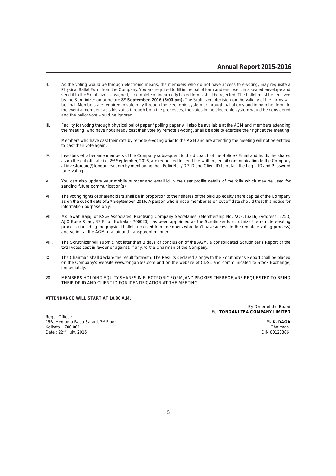- II. As the voting would be through electronic means, the members who do not have access to e-voting, may requisite a Physical Ballot Form from the Company. You are required to fill in the ballot form and enclose it in a sealed envelope and send it to the Scrutinizer. Unsigned, incomplete or incorrectly ticked forms shall be rejected. The ballot must be received by the Scrutinizer on or before **8th September, 2016 (5:00 pm).** The Srutinizers decision on the validity of the forms will be final. Members are required to vote only through the electronic system or through ballot only and in no other form. In the event a member casts his votes through both the processes, the votes in the electronic system would be considered and the ballot vote would be ignored.
- III. Facility for voting through physical ballot paper / polling paper will also be available at the AGM and members attending the meeting, who have not already cast their vote by remote e-voting, shall be able to exercise their right at the meeting.

Members who have cast their vote by remote e-voting prior to the AGM and are attending the meeting will not be entitled to cast their vote again.

- IV. Investors who became members of the Company subsequent to the dispatch of the Notice / Email and holds the shares as on the cut-off date i.e. 2<sup>nd</sup> September, 2016, are requested to send the written / email communication to the Company at investorcare@tonganitea.com by mentioning their Folio No. / DP ID and Client ID to obtain the Login-ID and Password for e-voting.
- V. You can also update your mobile number and email id in the user profile details of the folio which may be used for sending future communication(s).
- VI. The voting rights of shareholders shall be in proportion to their shares of the paid up equity share capital of the Company as on the cut-off date of 2nd September, 2016**.** A person who is not a member as on cut off date should treat this notice for information purpose only.
- VII. Ms. Swati Bajaj, of P.S.& Associates, Practising Company Secretaries, (Membership No. ACS:13216) (Address: 225D, AJC Bose Road, 3<sup>rd</sup> Floor, Kolkata - 700020) has been appointed as the Scrutinizer to scrutinize the remote e-voting process (including the physical ballots received from members who don't have access to the remote e-voting process) and voting at the AGM in a fair and transparent manner.
- VIII. The Scrutinizer will submit, not later than 3 days of conclusion of the AGM, a consolidated Scrutinizer's Report of the total votes cast in favour or against, if any, to the Chairman of the Company.
- IX. The Chairman shall declare the result forthwith. The Results declared alongwith the Scrutinizer's Report shall be placed on the Company's website www.tonganitea.com and on the website of CDSL and communicated to Stock Exchange, immediately.
- 20. MEMBERS HOLDING EQUITY SHARES IN ELECTRONIC FORM, AND PROXIES THEREOF, ARE REQUESTED TO BRING THEIR DP ID AND CLIENT ID FOR IDENTIFICATION AT THE MEETING.

**ATTENDANCE WILL START AT 10.00 A.M.**

By Order of the Board For **TONGANI TEA COMPANY LIMITED**

Regd. Office : 15B, Hemanta Basu Sarani, 3rd Floor **M. K. DAGA** Kolkata – 700 001 *Chairman* Date :  $22<sup>nd</sup>$  July, 2016.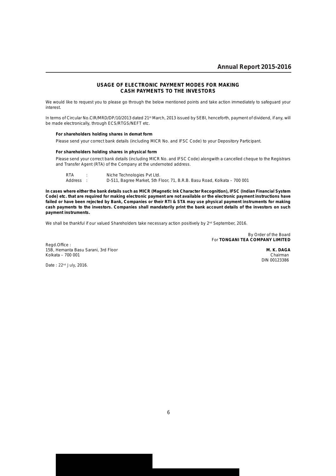#### **USAGE OF ELECTRONIC PAYMENT MODES FOR MAKING CASH PAYMENTS TO THE INVESTORS**

We would like to request you to please go through the below mentioned points and take action immediately to safeguard your interest.

In terms of Circular No.CIR/MRD/DP/10/2013 dated 21<sup>st</sup> March, 2013 issued by SEBI, henceforth, payment of dividend, if any, will be made electronically, through ECS/RTGS/NEFT etc.

#### **For shareholders holding shares in demat form**

Please send your correct bank details (including MICR No. and IFSC Code) to your Depository Participant.

#### **For shareholders holding shares in physical form**

Please send your correct bank details (including MICR No. and IFSC Code) alongwith a cancelled cheque to the Registrars and Transfer Agent (RTA) of the Company at the undernoted address.

RTA : Niche Technologies Pvt Ltd. Address : D-511, Bagree Market, 5th Floor, 71, B.R.B. Basu Road, Kolkata – 700 001

**In cases where either the bank details such as MICR (Magnetic Ink Character Recognition), IFSC (Indian Financial System Code) etc. that are required for making electronic payment are not available or the electronic payment instructions have failed or have been rejected by Bank, Companies or their RTI & STA may use physical payment instruments for making cash payments to the investors. Companies shall mandatorily print the bank account details of the investors on such payment instruments.**

We shall be thankful if our valued Shareholders take necessary action positively by  $2^{nd}$  September, 2016.

By Order of the Board For **TONGANI TEA COMPANY LIMITED**

Regd.Office : 15B, Hemanta Basu Sarani, 3rd Floor **M. K. DAGA** Kolkata – 700 001 *Chairman*

DIN 00123386

Date: 22<sup>nd</sup> July, 2016.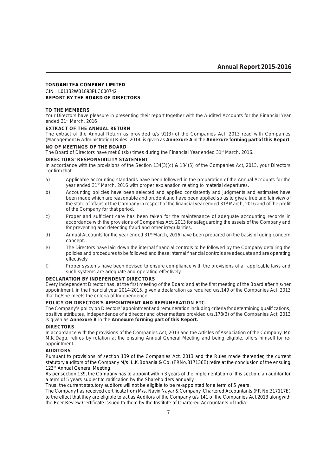## **TONGANI TEA COMPANY LIMITED**

CIN : L01132WB1893PLC000742 **REPORT BY THE BOARD OF DIRECTORS**

#### **TO THE MEMBERS**

Your Directors have pleasure in presenting their report together with the Audited Accounts for the Financial Year ended 31st March, 2016

#### **EXTRACT OF THE ANNUAL RETURN**

The extract of the Annual Return as provided u/s 92(3) of the Companies Act, 2013 read with Companies (Management & Administration) Rules, 2014, is given as **Annexure A** in the **Annexure forming part of this Report**.

# **NO OF MEETINGS OF THE BOARD**

The Board of Directors have met 6 (six) times during the Financial Year ended 31<sup>st</sup> March, 2016.

#### **DIRECTORS' RESPONSIBILITY STATEMENT**

In accordance with the provisions of the Section 134(3)(c) & 134(5) of the Companies Act, 2013, your Directors confirm that:

- a) Applicable accounting standards have been followed in the preparation of the Annual Accounts for the year ended 31st March, 2016 with proper explanation relating to material departures.
- b) Accounting policies have been selected and applied consistently and judgments and estimates have been made which are reasonable and prudent and have been applied so as to give a true and fair view of the state of affairs of the Company in respect of the financial year ended 31<sup>st</sup> March, 2016 and of the profit of the Company for that period.
- c) Proper and sufficient care has been taken for the maintenance of adequate accounting records in accordance with the provisions of Companies Act, 2013 for safeguarding the assets of the Company and for preventing and detecting fraud and other irregularities.
- d) Annual Accounts for the year ended  $31<sup>st</sup>$  March, 2016 have been prepared on the basis of going concern concept.
- e) The Directors have laid down the internal financial controls to be followed by the Company detailing the policies and procedures to be followed and these internal financial controls are adequate and are operating effectively.
- f) Proper systems have been devised to ensure compliance with the provisions of all applicable laws and such systems are adequate and operating effectively.

#### **DECLARATION BY INDEPENDENT DIRECTORS**

Every Independent Director has, at the first meeting of the Board and at the first meeting of the Board after his/her appointment, in the financial year 2014-2015, given a declaration as required u/s.149 of the Companies Act, 2013 that he/she meets the criteria of Independence.

#### **POLICY ON DIRECTOR'S APPOINTMENT AND REMUNERATION ETC.**

The Company's policy on Directors' appointment and remuneration including criteria for determining qualifications, positive attributes, independence of a director and other matters provided u/s.178(3) of the Companies Act, 2013 is given as **Annexure B** in the **Annexure forming part of this Report.**

#### **DIRECTORS**

In accordance with the provisions of the Companies Act, 2013 and the Articles of Association of the Company, Mr. M.K.Daga, retires by rotation at the ensuing Annual General Meeting and being eligible, offers himself for reappointment.

#### **AUDITORS**

Pursuant to provisions of section 139 of the Companies Act, 2013 and the Rules made therender, the current statutory auditors of the Company M/s. L.K.Bohania & Co. (FRNo.317136E) retire at the conclusion of the ensuing 123<sup>rd</sup> Annual General Meeting.

As per section 139, the Company has to appoint within 3 years of the implementation of this section, an auditor for a term of 5 years subject to ratification by the Shareholders annually.

Thus, the current statutory auditors will not be eligible to be re-appointed for a term of 5 years.

The Company has received certificate from M/s. Navin Nayar & Company, Chartered Accountants (FR No.317117E) to the effect that they are eligible to act as Auditors of the Company u/s 141 of the Companies Act,2013 alongwith the Peer Review Certificate issued to them by the Institute of Chartered Accountants of India.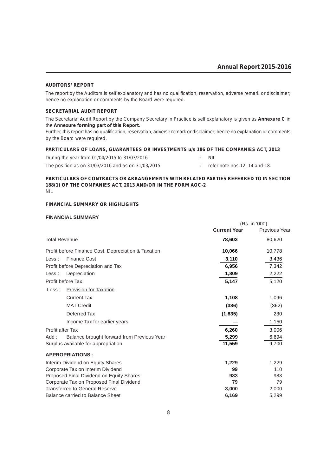## **AUDITORS' REPORT**

The report by the Auditors is self explanatory and has no qualification, reservation, adverse remark or disclaimer; hence no explanation or comments by the Board were required.

#### **SECRETARIAL AUDIT REPORT**

The Secretarial Audit Report by the Company Secretary in Practice is self explanatory is given as **Annexure C** in the **Annexure forming part of this Report.**

Further, this report has no qualification, reservation, adverse remark or disclaimer; hence no explanation or comments by the Board were required.

#### **PARTICULARS OF LOANS, GUARANTEES OR INVESTMENTS u/s 186 OF THE COMPANIES ACT, 2013**

During the year from 01/04/2015 to 31/03/2016 : NIL The position as on 31/03/2016 and as on 31/03/2015 : refer note nos.12, 14 and 18.

#### **PARTICULARS OF CONTRACTS OR ARRANGEMENTS WITH RELATED PARTIES REFERRED TO IN SECTION 188(1) OF THE COMPANIES ACT, 2013 AND/OR IN THE FORM AOC-2** NIL

#### **FINANCIAL SUMMARY OR HIGHLIGHTS**

#### **FINANCIAL SUMMARY**

|                                                                                                                                                                                                                                       |                     | (Rs. in '000)        |
|---------------------------------------------------------------------------------------------------------------------------------------------------------------------------------------------------------------------------------------|---------------------|----------------------|
|                                                                                                                                                                                                                                       | <b>Current Year</b> | <b>Previous Year</b> |
| <b>Total Revenue</b><br><b>Finance Cost</b><br>Depreciation<br><b>Provision for Taxation</b><br><b>Current Tax</b><br><b>MAT Credit</b><br>Deferred Tax<br>Income Tax for earlier years<br>Balance brought forward from Previous Year | 78,603              | 80,620               |
| Profit before Finance Cost, Depreciation & Taxation                                                                                                                                                                                   | 10,066              | 10,778               |
| Less:                                                                                                                                                                                                                                 | 3,110               | 3,436                |
| Profit before Depreciation and Tax                                                                                                                                                                                                    | 6,956               | 7,342                |
| Less :                                                                                                                                                                                                                                | 1,809               | 2,222                |
| Profit before Tax                                                                                                                                                                                                                     | 5,147               | 5,120                |
| Less:                                                                                                                                                                                                                                 |                     |                      |
|                                                                                                                                                                                                                                       | 1,108               | 1,096                |
|                                                                                                                                                                                                                                       | (386)               | (362)                |
|                                                                                                                                                                                                                                       | (1,835)             | 230                  |
|                                                                                                                                                                                                                                       |                     | 1,150                |
| Profit after Tax                                                                                                                                                                                                                      | 6,260               | 3,006                |
| Add :                                                                                                                                                                                                                                 | 5,299               | 6,694                |
| Surplus available for appropriation                                                                                                                                                                                                   | 11,559              | 9,700                |
| <b>APPROPRIATIONS:</b>                                                                                                                                                                                                                |                     |                      |
| Interim Dividend on Equity Shares                                                                                                                                                                                                     | 1,229               | 1,229                |
| Corporate Tax on Interim Dividend                                                                                                                                                                                                     | 99                  | 110                  |
| Proposed Final Dividend on Equity Shares                                                                                                                                                                                              | 983                 | 983                  |
| Corporate Tax on Proposed Final Dividend                                                                                                                                                                                              | 79                  | 79                   |
| <b>Transferred to General Reserve</b>                                                                                                                                                                                                 | 3,000               | 2,000                |
| Balance carried to Balance Sheet                                                                                                                                                                                                      | 6,169               | 5,299                |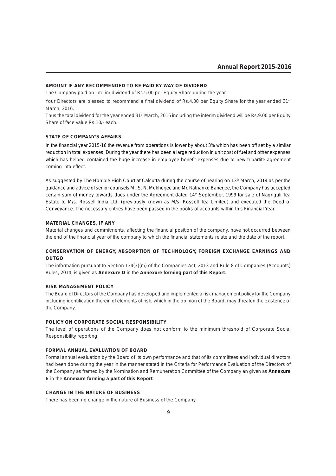#### **AMOUNT IF ANY RECOMMENDED TO BE PAID BY WAY OF DIVIDEND**

The Company paid an interim dividend of Rs.5.00 per Equity Share during the year.

Your Directors are pleased to recommend a final dividend of Rs.4.00 per Equity Share for the year ended 31<sup>st</sup> March, 2016.

Thus the total dividend for the year ended  $31<sup>st</sup>$  March, 2016 including the interim dividend will be Rs.9.00 per Equity Share of face value Rs.10/- each.

#### **STATE OF COMPANY'S AFFAIRS**

In the financial year 2015-16 the revenue from operations is lower by about 3% which has been off set by a similar reduction in total expenses. During the year there has been a large reduction in unit cost of fuel and other expenses which has helped contained the huge increase in employee benefit expenses due to new tripartite agreement coming into effect.

As suggested by The Hon'ble High Court at Calcutta during the course of hearing on 13<sup>th</sup> March, 2014 as per the guidance and advice of senior counsels Mr. S. N. Mukherjee and Mr. Ratnanko Banerjee, the Company has accepted certain sum of money towards dues under the Agreement dated 14<sup>th</sup> September, 1999 for sale of Nagriguli Tea Estate to M/s. Rossell India Ltd. (previously known as M/s. Rossell Tea Limited) and executed the Deed of Conveyance. The necessary entries have been passed in the books of accounts within this Financial Year.

#### **MATERIAL CHANGES, IF ANY**

Material changes and commitments, affecting the financial position of the company, have not occurred between the end of the financial year of the company to which the financial statements relate and the date of the report.

## **CONSERVATION OF ENERGY, ABSORPTION OF TECHNOLOGY, FOREIGN EXCHANGE EARNINGS AND OUTGO**

The information pursuant to Section 134(3)(m) of the Companies Act, 2013 and Rule 8 of Companies (Accounts) Rules, 2014, is given as **Annexure D** in the **Annexure forming part of this Report**.

#### **RISK MANAGEMENT POLICY**

The Board of Directors of the Company has developed and implemented a risk management policy for the Company including identification therein of elements of risk, which in the opinion of the Board, may threaten the existence of the Company.

#### **POLICY ON CORPORATE SOCIAL RESPONSIBILITY**

The level of operations of the Company does not conform to the minimum threshold of Corporate Social Responsibility reporting.

#### **FORMAL ANNUAL EVALUATION OF BOARD**

Formal annual evaluation by the Board of its own performance and that of its committees and individual directors had been done during the year in the manner stated in the Criteria for Performance Evaluation of the Directors of the Company as framed by the Nomination and Remuneration Committee of the Company an given as **Annexure E** in the **Annexure forming a part of this Report**.

#### **CHANGE IN THE NATURE OF BUSINESS**

There has been no change in the nature of Business of the Company.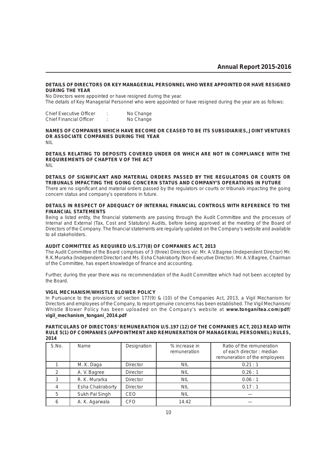#### **DETAILS OF DIRECTORS OR KEY MANAGERIAL PERSONNEL WHO WERE APPOINTED OR HAVE RESIGNED DURING THE YEAR**

No Directors were appointed or have resigned during the year.

The details of Key Managerial Personnel who were appointed or have resigned during the year are as follows:

| <b>Chief Executive Officer</b> | No Change |
|--------------------------------|-----------|
| <b>Chief Financial Officer</b> | No Change |

#### **NAMES OF COMPANIES WHICH HAVE BECOME OR CEASED TO BE ITS SUBSIDIARIES, JOINT VENTURES OR ASSOCIATE COMPANIES DURING THE YEAR** NIL

**DETAILS RELATING TO DEPOSITS COVERED UNDER OR WHICH ARE NOT IN COMPLIANCE WITH THE REQUIREMENTS OF CHAPTER V OF THE ACT** NIL

**DETAILS OF SIGNIFICANT AND MATERIAL ORDERS PASSED BY THE REGULATORS OR COURTS OR TRIBUNALS IMPACTING THE GOING CONCERN STATUS AND COMPANY'S OPERATIONS IN FUTURE** There are no significant and material orders passed by the regulators or courts or tribunals impacting the going concern status and company's operations in future.

#### **DETAILS IN RESPECT OF ADEQUACY OF INTERNAL FINANCIAL CONTROLS WITH REFERENCE TO THE FINANCIAL STATEMENTS**

Being a listed entity, the financial statements are passing through the Audit Committee and the processes of Internal and External (Tax, Cost and Statutory) Audits, before being approved at the meeting of the Board of Directors of the Company. The financial statements are regularly updated on the Company's website and available to all stakeholders.

#### **AUDIT COMMITTEE AS REQUIRED U/S.177(8) OF COMPANIES ACT, 2013**

The Audit Committee of the Board comprises of 3 (three) Directors viz: Mr. A.V.Bagree (Independent Director) Mr. R.K.Murarka (Independent Director) and Ms. Esha Chakraborty (Non-Executive Director). Mr. A.V.Bagree, Chairman of the Committee, has expert knowledge of finance and accounting.

Further, during the year there was no recommendation of the Audit Committee which had not been accepted by the Board.

#### **VIGIL MECHANISM/WHISTLE BLOWER POLICY**

In Pursuance to the provisions of section 177(9) & (10) of the Companies Act, 2013, a Vigil Mechanism for Directors and employees of the Company, to report genuine concerns has been established. The Vigil Mechanism/ Whistle Blower Policy has been uploaded on the Company's website at **www.tonganitea.com/pdf/ vigil\_mechanism\_tongani\_2014.pdf**

#### **PARTICULARS OF DIRECTORS' REMUNERATION U/S.197 (12) OF THE COMPANIES ACT, 2013 READ WITH RULE 5(1) OF COMPANIES (APPOINTMENT AND REMUNERATION OF MANAGERIAL PERSONNEL) RULES, 2014**

| S.No. | Name             | Designation     | % increase in<br>remuneration | Ratio of the remuneration<br>of each director: median<br>remuneration of the employees |
|-------|------------------|-----------------|-------------------------------|----------------------------------------------------------------------------------------|
|       | M. K. Daga       | <b>Director</b> | NIL                           | 0.21:1                                                                                 |
|       | A. V. Bagree     | <b>Director</b> | <b>NIL</b>                    | 0.26:1                                                                                 |
|       | R. K. Murarka    | <b>Director</b> | <b>NIL</b>                    | 0.06:1                                                                                 |
|       | Esha Chakraborty | <b>Director</b> | <b>NIL</b>                    | 0.17:1                                                                                 |
| 5     | Sukh Pal Singh   | CEO             | <b>NIL</b>                    |                                                                                        |
|       | A. K. Agarwala   | CFO             | 14.42                         |                                                                                        |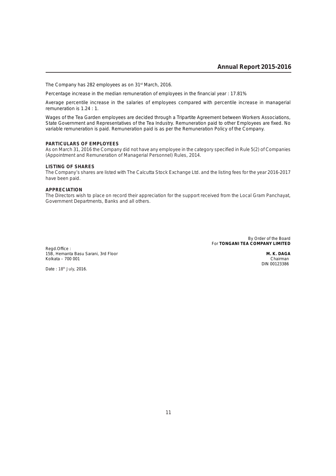The Company has 282 employees as on 31<sup>st</sup> March, 2016.

Percentage increase in the median remuneration of employees in the financial year : 17.81%

Average percentile increase in the salaries of employees compared with percentile increase in managerial remuneration is 1.24 : 1.

Wages of the Tea Garden employees are decided through a Tripartite Agreement between Workers Associations, State Government and Representatives of the Tea Industry. Remuneration paid to other Employees are fixed. No variable remuneration is paid. Remuneration paid is as per the Remuneration Policy of the Company.

#### **PARTICULARS OF EMPLOYEES**

As on March 31, 2016 the Company did not have any employee in the category specified in Rule 5(2) of Companies (Appointment and Remuneration of Managerial Personnel) Rules, 2014.

#### **LISTING OF SHARES**

The Company's shares are listed with The Calcutta Stock Exchange Ltd. and the listing fees for the year 2016-2017 have been paid.

#### **APPRECIATION**

The Directors wish to place on record their appreciation for the support received from the Local Gram Panchayat, Government Departments, Banks and all others.

> By Order of the Board For **TONGANI TEA COMPANY LIMITED**

Regd.Office : 15B, Hemanta Basu Sarani, 3rd Floor **M. K. DAGA** Kolkata – 700 001 *Chairman*

DIN 00123386

Date: 18<sup>th</sup> July, 2016.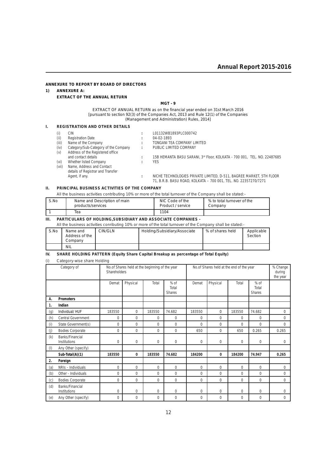#### **ANNEXURE TO REPORT BY BOARD OF DIRECTORS**

#### **1) ANNEXURE A:**

#### **EXTRACT OF THE ANNUAL RETURN**

**MGT - 9**

EXTRACT OF ANNUAL RETURN as on the financial year ended on 31st March 2016 [pursuant to section 92(3) of the Companies Act, 2013 and Rule 12(1) of the Companies (Management and Administration) Rules, 2014]

#### **I. REGISTRATION AND OTHER DETAILS**

| (i) | CIN                                          |      | L01132WB1893PLC000742                                                    |
|-----|----------------------------------------------|------|--------------------------------------------------------------------------|
|     | (ii)<br><b>Registration Date</b>             |      | 04-02-1893                                                               |
|     | Name of the Company<br>(iii)                 |      | TONGANI TEA COMPANY LIMITED                                              |
|     | Category/Sub-Category of the Company<br>(iv) | di s | PUBLIC LIMITED COMPANY                                                   |
|     | Address of the Registered office<br>(v)      |      |                                                                          |
|     | and contact details                          |      | 15B HEMANTA BASU SARANI. 3rd Floor. KOLKATA - 700 001. TEL. NO. 22487685 |
|     | Whether listed Company<br>(vi)               |      | <b>YFS</b>                                                               |
|     | Name, Address and Contact<br>(vii)           |      |                                                                          |
|     | details of Registrar and Transfer            |      |                                                                          |
|     | Agent, if any.                               |      | NICHE TECHNOLOGIES PRIVATE LIMITED, D-511, BAGREE MARKET, 5TH FLOOR      |
|     |                                              |      | 71, B.R.B. BASU ROAD, KOLKATA - 700 001, TEL. NO. 22357270/7271          |
|     |                                              |      |                                                                          |

#### **II. PRINCIPAL BUSINESS ACTIVITIES OF THE COMPANY**

All the business activities contributing 10% or more of the total turnover of the Company shall be stated:-

| S.No | Name and Description of main | NIC Code of the   | % to total turnover of the |
|------|------------------------------|-------------------|----------------------------|
|      | products/services            | Product / service | Companv                    |
|      | Теа                          | 1104              |                            |

**III. PARTICULARS OF HOLDING,SUBSIDIARY AND ASSOCIATE COMPANIES -**

All the business activities conributing 10% or more of the total turnover of the Company shall be stated:-

| S.No | Name and<br>Address of the<br>Companv | CIN/GLN | Holding/Subsidiary/Associate | % of shares held | Applicable<br>Section |
|------|---------------------------------------|---------|------------------------------|------------------|-----------------------|
|      | <b>NIL</b>                            |         |                              |                  |                       |

#### **IV. SHARE HOLDING PATTERN (Equity Share Capital Breakup as percentage of Total Equity)**

(i) Category-wise share Holding

|     | Category of                     | <b>Shareholders</b> | No.of Shares held at the beginning of the year |          |                                  | No.of Shares held at the end of the year |          |             |                                  | % Change<br>during<br>the year |
|-----|---------------------------------|---------------------|------------------------------------------------|----------|----------------------------------|------------------------------------------|----------|-------------|----------------------------------|--------------------------------|
|     |                                 | Demat               | Physical                                       | Total    | $%$ of<br>Total<br><b>Shares</b> | Demat                                    | Physical | Total       | $%$ of<br>Total<br><b>Shares</b> |                                |
| Α.  | <b>Promoters</b>                |                     |                                                |          |                                  |                                          |          |             |                                  |                                |
| 1.  | Indian                          |                     |                                                |          |                                  |                                          |          |             |                                  |                                |
| (g) | Individual/ HUF                 | 183550              | $\mathbf 0$                                    | 183550   | 74.682                           | 183550                                   | $\Omega$ | 183550      | 74.682                           | 0                              |
| (h) | Central Government              | $\Omega$            | $\Omega$                                       | $\Omega$ | $\Omega$                         | $\Omega$                                 | $\Omega$ | $\Omega$    | $\Omega$                         | $\Omega$                       |
| (i) | State Government(s)             | 0                   | $\Omega$                                       | 0        | $\mathbf 0$                      | $\Omega$                                 | $\Omega$ | 0           | $\Omega$                         | $\Omega$                       |
| (j) | <b>Bodies Corporate</b>         | 0                   | $\Omega$                                       | 0        | 0                                | 650                                      | $\Omega$ | 650         | 0.265                            | 0.265                          |
| (k) | Banks/Financial<br>Institutions | 0                   | $\Omega$                                       | 0        | $\mathbf 0$                      | $\Omega$                                 | $\Omega$ | $\Omega$    | $\Omega$                         | $\Omega$                       |
| (1) | Any Other (specify)             |                     |                                                |          |                                  |                                          |          |             |                                  |                                |
|     | Sub-Total(A)(1)                 | 183550              | $\mathbf 0$                                    | 183550   | 74.682                           | 184200                                   | 0        | 184200      | 74.947                           | 0.265                          |
| 2.  | Foreign                         |                     |                                                |          |                                  |                                          |          |             |                                  |                                |
| (a) | NRIs - Individuals              | $\Omega$            | $\Omega$                                       | $\Omega$ | $\Omega$                         | $\Omega$                                 | $\Omega$ | $\Omega$    | $\Omega$                         | $\Omega$                       |
| (b) | Other - Individuals             | 0                   | $\Omega$                                       | 0        | $\mathbf 0$                      | $\Omega$                                 | $\Omega$ | 0           | $\mathbf 0$                      | 0                              |
| (c) | <b>Bodies Corporate</b>         | 0                   | $\Omega$                                       | 0        | 0                                | $\Omega$                                 | $\Omega$ | $\mathbf 0$ | $\Omega$                         | 0                              |
| (d) | Banks/Financial<br>Institutions | 0                   | $\mathbf{0}$                                   | 0        | 0                                | 0                                        | 0        | 0           | $\mathbf 0$                      | 0                              |
| (e) | Any Other (specify)             | 0                   | $\Omega$                                       | $\Omega$ | 0                                | $\Omega$                                 | $\Omega$ | 0           | $\mathbf 0$                      | $\Omega$                       |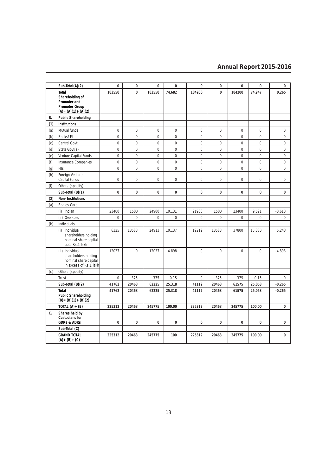|     | Sub-Total(A)(2)                                                                              | $\bf{0}$         | 0           | 0                | $\bf{0}$            | $\mathbf{0}$ | 0                | 0                | $\bf{0}$         | 0              |
|-----|----------------------------------------------------------------------------------------------|------------------|-------------|------------------|---------------------|--------------|------------------|------------------|------------------|----------------|
|     | Total<br>Shareholding of<br>Promoter and<br><b>Promoter Group</b><br>$(A) = (A)(1) + (A)(2)$ | 183550           | 0           | 183550           | 74.682              | 184200       | $\mathbf{0}$     | 184200           | 74.947           | 0.265          |
| В.  | <b>Public Shareholding</b>                                                                   |                  |             |                  |                     |              |                  |                  |                  |                |
| (1) | <b>Institutions</b>                                                                          |                  |             |                  |                     |              |                  |                  |                  |                |
| (a) | Mutual funds                                                                                 | $\mathbf 0$      | 0           | 0                | $\mathbf{0}$        | $\mathbf{0}$ | 0                | 0                | $\mathbf{0}$     | 0              |
| (b) | Banks/FI                                                                                     | $\Omega$         | $\mathbf 0$ | $\overline{0}$   | $\mathbf 0$         | $\mathbf 0$  | $\Omega$         | $\overline{0}$   | $\Omega$         | $\overline{0}$ |
| (c) | Central Govt                                                                                 | $\boldsymbol{0}$ | 0           | 0                | $\mathbf 0$         | $\mathbf{0}$ | 0                | 0                | $\mathbf{0}$     | 0              |
| (d) | State Govt(s)                                                                                | $\boldsymbol{0}$ | 0           | 0                | $\mathsf{O}\xspace$ | $\mathbf{0}$ | 0                | 0                | $\boldsymbol{0}$ | 0              |
| (e) | Venture Capital Funds                                                                        | $\boldsymbol{0}$ | 0           | $\boldsymbol{0}$ | $\mathbf 0$         | $\bf 0$      | $\boldsymbol{0}$ | $\boldsymbol{0}$ | $\mathbf 0$      | 0              |
| (f) | Insurance Companies                                                                          | $\mathbf 0$      | $\mathbf 0$ | $\overline{0}$   | $\mathbf 0$         | $\mathbf 0$  | $\mathbf 0$      | $\overline{0}$   | $\mathbf{0}$     | 0              |
| (q) | FIIs                                                                                         | $\mathbf 0$      | 0           | 0                | $\mathbf 0$         | $\mathbf 0$  | $\mathbf 0$      | 0                | $\mathbf 0$      | $\overline{0}$ |
| (h) | Foreign Venture<br>Capital Funds                                                             | $\mathbf 0$      | $\mathbf 0$ | $\boldsymbol{0}$ | $\mathbf{0}$        | $\mathbf{0}$ | $\mathbf 0$      | 0                | $\mathbf{0}$     | 0              |
| (i) | Others (specify)                                                                             |                  |             |                  |                     |              |                  |                  |                  |                |
|     | Sub-Total (B)(1)                                                                             | 0                | 0           | 0                | 0                   | $\pmb{0}$    | 0                | 0                | 0                | 0              |
| (2) | <b>Non-Institutions</b>                                                                      |                  |             |                  |                     |              |                  |                  |                  |                |
| (a) | <b>Bodies Corp</b>                                                                           |                  |             |                  |                     |              |                  |                  |                  |                |
|     | (i) Indian                                                                                   | 23400            | 1500        | 24900            | 10.131              | 21900        | 1500             | 23400            | 9.521            | $-0.610$       |
|     | (ii) Overseas                                                                                | $\mathbf 0$      | 0           | 0                | $\mathbf{0}$        | $\mathbf 0$  | $\Omega$         | 0                | $\Omega$         | $\Omega$       |
| (b) | Individuals                                                                                  |                  |             |                  |                     |              |                  |                  |                  |                |
|     | (i) Individual<br>shareholders holding<br>nominal share capital<br>upto Rs.1 lakh            | 6325             | 18588       | 24913            | 10.137              | 19212        | 18588            | 37800            | 15.380           | 5.243          |
|     | (ii) Individual<br>shareholders holding<br>nominal share capital<br>in excess of Rs.1 lakh   | 12037            | $\Omega$    | 12037            | 4.898               | $\mathbf{0}$ | $\mathbf 0$      | $\mathbf 0$      | $\mathbf{0}$     | $-4.898$       |
| (c) | Others (specify)                                                                             |                  |             |                  |                     |              |                  |                  |                  |                |
|     | Trust                                                                                        | $\mathbf{0}$     | 375         | 375              | 0.15                | $\Omega$     | 375              | 375              | 0.15             | $\mathbf 0$    |
|     | Sub-Total (B)(2)                                                                             | 41762            | 20463       | 62225            | 25.318              | 41112        | 20463            | 61575            | 25.053           | $-0.265$       |
|     | <b>Total</b><br><b>Public Shareholding</b><br>$(B) = (B)(1) + (B)(2)$                        | 41762            | 20463       | 62225            | 25.318              | 41112        | 20463            | 61575            | 25.053           | $-0.265$       |
|     | TOTAL $(A) + (B)$                                                                            | 225312           | 20463       | 245775           | 100.00              | 225312       | 20463            | 245775           | 100.00           | 0              |
| C.  | Shares held by<br><b>Custodians for</b><br><b>GDRs &amp; ADRs</b>                            | 0                | 0           | 0                | 0                   | 0            | 0                | 0                | 0                | 0              |
|     | Sub-Total (C)<br><b>GRAND TOTAL</b><br>$(A) + (B) + (C)$                                     | 225312           | 20463       | 245775           | 100                 | 225312       | 20463            | 245775           | 100.00           | 0              |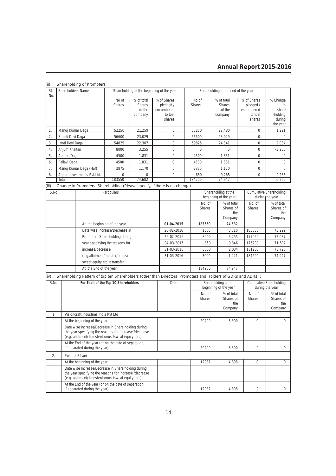| (ii)         |                              | Shareholding of Promoters                                                                                                                                             |                                     |                                                  |                                           |                                                             |  |                                              |                                     |                                                  |  |                                                             |                                                           |
|--------------|------------------------------|-----------------------------------------------------------------------------------------------------------------------------------------------------------------------|-------------------------------------|--------------------------------------------------|-------------------------------------------|-------------------------------------------------------------|--|----------------------------------------------|-------------------------------------|--------------------------------------------------|--|-------------------------------------------------------------|-----------------------------------------------------------|
| SI.<br>No.   | Shareholders Name            |                                                                                                                                                                       |                                     |                                                  | Shareholding at the beginning of the year |                                                             |  |                                              | Shareholding at the end of the year |                                                  |  |                                                             |                                                           |
|              |                              |                                                                                                                                                                       | No of<br><b>Shares</b>              | % of total<br><b>Shares</b><br>of the<br>company |                                           | % of Shares<br>pledged /<br>encumbered<br>to toal<br>shares |  | No of<br><b>Shares</b>                       |                                     | % of total<br><b>Shares</b><br>of the<br>company |  | % of Shares<br>pledged /<br>encumbered<br>to toal<br>shares | % Change<br>in<br>share<br>-holding<br>during<br>the year |
| 1.           | Manoj Kumar Daga             |                                                                                                                                                                       | 52250                               | 21.259                                           |                                           | $\boldsymbol{0}$                                            |  | 55250                                        |                                     | 22.480                                           |  | $\mathbf 0$                                                 | 1.221                                                     |
| 2.           | Shanti Devi Daga             |                                                                                                                                                                       | 56600                               | 23.029                                           |                                           | 0                                                           |  | 56600                                        |                                     | 23.029                                           |  | $\boldsymbol{0}$                                            | 0                                                         |
| 3.           | Jyoti Devi Daga              |                                                                                                                                                                       | 54825                               | 22.307                                           |                                           | 0                                                           |  | 59825                                        |                                     | 24.341                                           |  | $\boldsymbol{0}$                                            | 2.034                                                     |
| 4.           | Anjum Khaitan                |                                                                                                                                                                       | 8000                                | 3.255                                            |                                           | 0                                                           |  | 0                                            |                                     | 0                                                |  | $\mathbf 0$                                                 | $-3.255$                                                  |
| 5.           | Aparna Daga                  |                                                                                                                                                                       | 4500                                | 1.831                                            |                                           | 0                                                           |  | 4500                                         |                                     | 1.831                                            |  | $\mathbf 0$                                                 | 0                                                         |
| 6.           | Pallavi Daga                 |                                                                                                                                                                       | 4500                                | 1.831                                            |                                           | 0                                                           |  | 4500                                         |                                     | 1.831                                            |  | $\boldsymbol{0}$                                            | 0                                                         |
| 7.           |                              | Manoj Kumar Daga (Huf)                                                                                                                                                | 2875                                | 1.170                                            |                                           | 0                                                           |  | 2875                                         |                                     | 1.170                                            |  | $\mathbf 0$                                                 | 0                                                         |
| 8.           | Total                        | Anjum Investments Pvt.Ltd.                                                                                                                                            | 0<br>183550                         | 0<br>74.682                                      |                                           | 0                                                           |  | 650<br>184200                                |                                     | 0.265<br>74.947                                  |  | 0                                                           | 0.265<br>0.265                                            |
| (iii)        |                              | Change in Promoters' Shareholding (Please specify, if there is no change)                                                                                             |                                     |                                                  |                                           |                                                             |  |                                              |                                     |                                                  |  |                                                             |                                                           |
| S.No         |                              |                                                                                                                                                                       | Particulars                         |                                                  |                                           |                                                             |  |                                              |                                     | Shareholding at the                              |  |                                                             | <b>Cumulative Shareholding</b>                            |
|              |                              |                                                                                                                                                                       |                                     |                                                  |                                           |                                                             |  | No. of                                       |                                     | beginning of the year<br>% of total              |  | No. of                                                      | during the year<br>% of total                             |
|              |                              |                                                                                                                                                                       |                                     |                                                  |                                           |                                                             |  | <b>Shares</b>                                |                                     | Shares of                                        |  | Shares                                                      | Shares of                                                 |
|              |                              |                                                                                                                                                                       |                                     |                                                  |                                           |                                                             |  |                                              |                                     | the                                              |  |                                                             | the                                                       |
|              |                              |                                                                                                                                                                       |                                     |                                                  |                                           | 01-04-2015                                                  |  | 183550                                       |                                     | Company<br>74.682                                |  |                                                             | Company                                                   |
|              | At the beginning of the year |                                                                                                                                                                       | Date wise Increase/Decrease in      |                                                  |                                           | 26-02-2016                                                  |  | 1500                                         | 0.610                               |                                                  |  | 185050                                                      | 75.292                                                    |
|              |                              |                                                                                                                                                                       | Promoters Share holding during the  |                                                  |                                           | 26-02-2016                                                  |  | $-8000$                                      | $-3.255$                            |                                                  |  | 177050                                                      | 72.037                                                    |
|              |                              |                                                                                                                                                                       | year specifying the reasons for     |                                                  |                                           | 04-03-2016                                                  |  | $-850$                                       |                                     | $-0.346$                                         |  | 176200                                                      | 71.692                                                    |
|              |                              | increase/decrease                                                                                                                                                     |                                     |                                                  |                                           | 31-03-2016                                                  |  | 5000                                         | 2.034                               |                                                  |  | 181200                                                      | 73.726                                                    |
|              |                              |                                                                                                                                                                       | (e.g.allotment/transfer/bonus/      |                                                  |                                           | 31-03-2016                                                  |  | 3000                                         |                                     | 1.221                                            |  | 184200                                                      | 74.947                                                    |
|              |                              | sweat equity etc.): transfer                                                                                                                                          |                                     |                                                  |                                           |                                                             |  |                                              |                                     |                                                  |  |                                                             |                                                           |
|              |                              | At the End of the year                                                                                                                                                |                                     |                                                  |                                           |                                                             |  | 184200                                       |                                     | 74.947                                           |  |                                                             |                                                           |
| (iv)         |                              | Shareholding Pattern of top ten Shareholders (other than Directors, Promoters and Holders of GDRs and ADRs) :                                                         |                                     |                                                  |                                           |                                                             |  |                                              |                                     |                                                  |  |                                                             |                                                           |
| S.No         |                              |                                                                                                                                                                       | For Each of the Top 10 Shareholders |                                                  |                                           | Date                                                        |  | Shareholding at the<br>beginning of the year |                                     |                                                  |  | <b>Cumulative Shareholding</b><br>during the year           |                                                           |
|              |                              |                                                                                                                                                                       |                                     |                                                  |                                           |                                                             |  | No. of<br><b>Shares</b>                      |                                     | % of total<br>Shares of<br>the<br>Company        |  | No. of<br><b>Shares</b>                                     | % of total<br>Shares of<br>the<br>Company                 |
| $\mathbf{1}$ |                              | Visioncraft Industries India Pvt Ltd                                                                                                                                  |                                     |                                                  |                                           |                                                             |  |                                              |                                     |                                                  |  |                                                             |                                                           |
|              |                              | At the beginning of the year                                                                                                                                          |                                     |                                                  |                                           |                                                             |  | 20400                                        |                                     | 8.300                                            |  | $\mathbf 0$                                                 | 0                                                         |
|              |                              | Date wise Increase/Decrease in Share holding during<br>the year specifying the reasons for increase /decrease<br>(e.g. allotment/ transfer/bonus / sweat equity etc.) |                                     |                                                  |                                           |                                                             |  |                                              |                                     |                                                  |  |                                                             |                                                           |
|              |                              | At the End of the year (or on the date of separation,<br>if separated during the year)                                                                                |                                     |                                                  |                                           |                                                             |  | 20400                                        |                                     | 8.300                                            |  | 0                                                           | 0                                                         |
| 2.           |                              | Pushpa Bihani                                                                                                                                                         |                                     |                                                  |                                           |                                                             |  |                                              |                                     |                                                  |  |                                                             |                                                           |
|              |                              | At the beginning of the year                                                                                                                                          |                                     |                                                  |                                           |                                                             |  | 12037                                        |                                     | 4.898                                            |  | 0                                                           | 0                                                         |
|              |                              | Date wise Increase/Decrease in Share holding during<br>the year specifying the reasons for increase /decrease<br>(e.g. allotment/ transfer/bonus /sweat equity etc.)  |                                     |                                                  |                                           |                                                             |  |                                              |                                     |                                                  |  |                                                             |                                                           |
|              |                              | At the End of the year (or on the date of separation,<br>if separated during the year)                                                                                |                                     |                                                  |                                           |                                                             |  | 12037                                        |                                     | 4.898                                            |  | 0                                                           | $\overline{0}$                                            |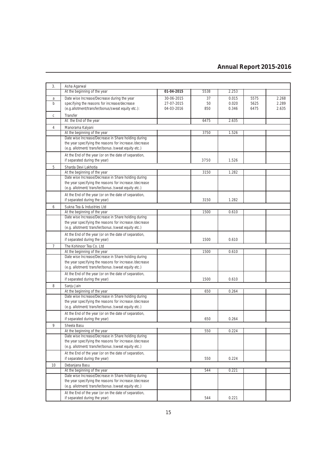| 3.             | Asha Agarwal                                                                                                  |            |      |       |      |       |
|----------------|---------------------------------------------------------------------------------------------------------------|------------|------|-------|------|-------|
|                | At the beginning of the year                                                                                  | 01-04-2015 | 5538 | 2.253 |      |       |
| a              | Date wise Increase/Decrease during the year                                                                   | 30-06-2015 | 37   | 0.015 | 5575 | 2.268 |
| b              | specifying the reasons for increase/decrease                                                                  | 27-07-2015 | 50   | 0.020 | 5625 | 2.289 |
|                | (e.g.allotment/transfer/bonus/sweat equity etc.):                                                             | 04-03-2016 | 850  | 0.346 | 6475 | 2.635 |
| C              | Transfer                                                                                                      |            |      |       |      |       |
|                | At the End of the year                                                                                        |            | 6475 | 2.635 |      |       |
| $\overline{4}$ | Manorama Kalyani                                                                                              |            |      |       |      |       |
|                | At the beginning of the year<br>Date wise Increase/Decrease in Share holding during                           |            | 3750 | 1.526 |      |       |
|                | the year specifying the reasons for increase /decrease                                                        |            |      |       |      |       |
|                | (e.g. allotment/ transfer/bonus /sweat equity etc.)                                                           |            |      |       |      |       |
|                | At the End of the year (or on the date of separation,                                                         |            |      |       |      |       |
|                | if separated during the year)                                                                                 |            | 3750 | 1.526 |      |       |
| 5              | Sharda Devi Lakhotia                                                                                          |            |      |       |      |       |
|                | At the beginning of the year                                                                                  |            | 3150 | 1.282 |      |       |
|                | Date wise Increase/Decrease in Share holding during                                                           |            |      |       |      |       |
|                | the year specifying the reasons for increase /decrease                                                        |            |      |       |      |       |
|                | (e.g. allotment/ transfer/bonus /sweat equity etc.)                                                           |            |      |       |      |       |
|                | At the End of the year (or on the date of separation,                                                         |            |      |       |      |       |
|                | if separated during the year)                                                                                 |            | 3150 | 1.282 |      |       |
| 6              | Sukna Tea & Industries Ltd                                                                                    |            |      |       |      |       |
|                | At the beginning of the year                                                                                  |            | 1500 | 0.610 |      |       |
|                | Date wise Increase/Decrease in Share holding during<br>the year specifying the reasons for increase /decrease |            |      |       |      |       |
|                | (e.g. allotment/ transfer/bonus /sweat equity etc.)                                                           |            |      |       |      |       |
|                | At the End of the year (or on the date of separation,                                                         |            |      |       |      |       |
|                | if separated during the year)                                                                                 |            | 1500 | 0.610 |      |       |
| $\overline{7}$ | The Kohinoor Tea Co. Ltd                                                                                      |            |      |       |      |       |
|                | At the beginning of the year                                                                                  |            | 1500 | 0.610 |      |       |
|                | Date wise Increase/Decrease in Share holding during                                                           |            |      |       |      |       |
|                | the year specifying the reasons for increase /decrease                                                        |            |      |       |      |       |
|                | (e.g. allotment/ transfer/bonus /sweat equity etc.)                                                           |            |      |       |      |       |
|                | At the End of the year (or on the date of separation,                                                         |            |      |       |      |       |
|                | if separated during the year)                                                                                 |            | 1500 | 0.610 |      |       |
| 8              | Sanju Jain                                                                                                    |            |      |       |      |       |
|                | At the beginning of the year<br>Date wise Increase/Decrease in Share holding during                           |            | 650  | 0.264 |      |       |
|                | the year specifying the reasons for increase /decrease                                                        |            |      |       |      |       |
|                | (e.g. allotment/ transfer/bonus /sweat equity etc.)                                                           |            |      |       |      |       |
|                | At the End of the year (or on the date of separation,                                                         |            |      |       |      |       |
|                | if separated during the year)                                                                                 |            | 650  | 0.264 |      |       |
| 9              | Sheela Basu                                                                                                   |            |      |       |      |       |
|                | At the beginning of the year                                                                                  |            | 550  | 0.224 |      |       |
|                | Date wise Increase/Decrease in Share holding during                                                           |            |      |       |      |       |
|                | the year specifying the reasons for increase /decrease                                                        |            |      |       |      |       |
|                | (e.g. allotment/ transfer/bonus /sweat equity etc.)                                                           |            |      |       |      |       |
|                | At the End of the year (or on the date of separation,<br>if separated during the year)                        |            |      |       |      |       |
|                |                                                                                                               |            | 550  | 0.224 |      |       |
| 10             | Debanjana Basu<br>At the beginning of the year                                                                |            | 544  | 0.221 |      |       |
|                | Date wise Increase/Decrease in Share holding during                                                           |            |      |       |      |       |
|                | the year specifying the reasons for increase /decrease                                                        |            |      |       |      |       |
|                | (e.g. allotment/ transfer/bonus /sweat equity etc.)                                                           |            |      |       |      |       |
|                | At the End of the year (or on the date of separation,                                                         |            |      |       |      |       |
|                | if separated during the year)                                                                                 |            | 544  | 0.221 |      |       |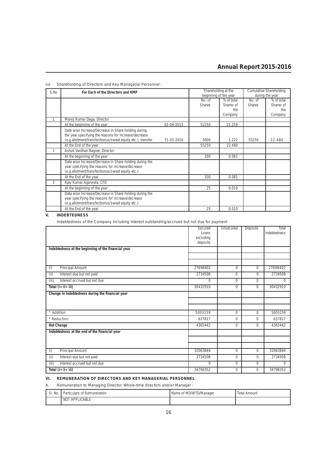| S.No           | For Each of the Directors and KMP                          |            | Shareholding at the   |            |               | <b>Cumulative Shareholding</b> |
|----------------|------------------------------------------------------------|------------|-----------------------|------------|---------------|--------------------------------|
|                |                                                            |            | beginning of the year |            |               | during the year                |
|                |                                                            |            | No. of                | % of total | No. of        | % of total                     |
|                |                                                            |            | <b>Shares</b>         | Shares of  | <b>Shares</b> | Shares of                      |
|                |                                                            |            |                       | the        |               | the                            |
|                |                                                            |            |                       | Company    |               | Company                        |
|                | Manoj Kumar Daga, Director                                 |            |                       |            |               |                                |
|                | At the beginning of the year                               | 01-04-2015 | 52250                 | 21.259     |               |                                |
|                | Date wise Increase/Decrease in Share holding during        |            |                       |            |               |                                |
|                | the year specifying the reasons for increase/decrease      |            |                       |            |               |                                |
|                | (e.g.allotment/transfer/bonus/sweat equity etc.): transfer | 31-03-2016 | 3000                  | 1.221      | 55250         | 22.480                         |
|                | At the End of the year                                     |            | 55250                 | 22.480     |               |                                |
| $\overline{2}$ | Ashok Vardhan Bagree, Director                             |            |                       |            |               |                                |
|                | At the beginning of the year                               |            | 200                   | 0.081      |               |                                |
|                | Date wise Increase/Decrease in Share holding during the    |            |                       |            |               |                                |
|                | year specifying the reasons for increase/decrease          |            |                       |            |               |                                |
|                | (e.g.allotment/transfer/bonus/sweat equity etc.):          |            |                       |            |               |                                |
|                | At the End of the year                                     |            | 200                   | 0.081      |               |                                |
| 3              | Ajay Kumar Agarwala, CFO                                   |            |                       |            |               |                                |
|                | At the beginning of the year                               |            | 25                    | 0.010      |               |                                |
|                | Date wise Increase/Decrease in Share holding during the    |            |                       |            |               |                                |
|                | year specifying the reasons for increase/decrease          |            |                       |            |               |                                |
|                | (e.g.allotment/transfer/bonus/sweat equity etc.):          |            |                       |            |               |                                |
|                | At the End of the year                                     |            | 25                    | 0.010      |               |                                |

#### (v) Shareholding of Directors and Key Managerial Personnel :

**V. INDEBTEDNESS**

Indebtedness of the Company including interest outstanding/accrued but not due for payment

|                                                     | Secured<br>Loans<br>excluding<br>deposits | Unsecured   | Deposits | Total<br>Indebtedness |
|-----------------------------------------------------|-------------------------------------------|-------------|----------|-----------------------|
| Indebtedness at the beginning of the financial year |                                           |             |          |                       |
|                                                     |                                           |             |          |                       |
|                                                     |                                           |             |          |                       |
| <b>Principal Amount</b><br>(i)                      | 27698402                                  | $\Omega$    | $\Omega$ | 27698402              |
| Interest due but not paid<br>(ii)                   | 2734508                                   | $\Omega$    | $\Omega$ | 2734508               |
| Interest accrued but not due<br>(iii)               | $\Omega$                                  | $\Omega$    | $\Omega$ | $\Omega$              |
| Total $(i + ii + iii)$                              | 30432910                                  | $\Omega$    | $\Omega$ | 30432910              |
| Change in Indebtedness during the financial year    |                                           |             |          |                       |
|                                                     |                                           |             |          |                       |
|                                                     |                                           |             |          |                       |
| * Addition                                          | 5003259                                   | $\mathbf 0$ | $\Omega$ | 5003259               |
| * Reduction                                         | 637817                                    | $\Omega$    | $\Omega$ | 637817                |
| Net Change                                          | 4365442                                   | $\Omega$    | $\Omega$ | 4365442               |
| Indebtedness at the end of the financial year       |                                           |             |          |                       |
|                                                     |                                           |             |          |                       |
|                                                     |                                           |             |          |                       |
| Principal Amount<br>(i)                             | 32063844                                  | $\Omega$    | $\Omega$ | 32063844              |
| Interest due but not paid<br>(ii)                   | 2734508                                   | $\Omega$    | $\Omega$ | 2734508               |
| Interest accrued but not due<br>(iii)               | $\Omega$                                  | $\Omega$    | $\Omega$ | $\Omega$              |
| Total $(i + ii + iii)$                              | 34798352                                  | $\Omega$    | $\Omega$ | 34798352              |

#### **VI. REMUNERATION OF DIRECTORS AND KEY MANAGERIAL PERSONNEL**

A. Remuneration to Managing Director, Whole-time directors and/or Manager :

| No.<br>SI. | Particulars of Remuneration | Name of MD/WTD/Manager | -lotal Amount |
|------------|-----------------------------|------------------------|---------------|
|            | APPLICABLE<br><b>NOT</b>    |                        |               |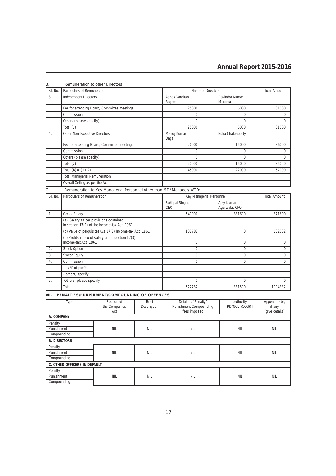| В.         |                                      | Remuneration to other Directors:                                                       |                             |                                                                      |                              |                                          |
|------------|--------------------------------------|----------------------------------------------------------------------------------------|-----------------------------|----------------------------------------------------------------------|------------------------------|------------------------------------------|
| SI. No.    | Particulars of Remuneration          |                                                                                        |                             |                                                                      | Name of Directors            |                                          |
| 3.         | Independent Directors                |                                                                                        |                             | Ashok Vardhan<br>Bagree                                              | Ravindra Kumar<br>Murarka    |                                          |
|            |                                      | Fee for attending Board/ Committee meetings                                            |                             | 25000                                                                | 6000                         | 31000                                    |
|            | Commission                           |                                                                                        |                             | $\Omega$                                                             | $\Omega$                     | $\Omega$                                 |
|            | Others (please specify)              |                                                                                        |                             | $\mathbf 0$                                                          | $\overline{0}$               | $\Omega$                                 |
|            | Total (1)                            |                                                                                        |                             | 25000                                                                | 6000                         | 31000                                    |
| 4.         | <b>Other Non-Executive Directors</b> |                                                                                        |                             | Manoj Kumar<br>Daga                                                  | Esha Chakraborty             |                                          |
|            |                                      | Fee for attending Board/ Committee meetings                                            |                             | 20000                                                                | 16000                        | 36000                                    |
|            | Commission                           |                                                                                        |                             | $\mathbf 0$                                                          | $\mathbf{0}$                 | $\mathbf 0$                              |
|            | Others (please specify)              |                                                                                        |                             | $\Omega$                                                             | $\mathbf 0$                  | $\Omega$                                 |
|            | Total (2)                            |                                                                                        |                             | 20000                                                                | 16000                        | 36000                                    |
|            | Total $(B) = (1 + 2)$                |                                                                                        |                             | 45000                                                                | 22000                        | 67000                                    |
|            | <b>Total Managerial Remuneration</b> |                                                                                        |                             |                                                                      |                              |                                          |
|            | Overall Ceiling as per the Act       |                                                                                        |                             |                                                                      |                              |                                          |
| C.         |                                      | Remuneration to Key Managerial Personnel other than MD/ Manager/ WTD:                  |                             |                                                                      |                              |                                          |
| SI. No.    | Particulars of Remuneration          |                                                                                        |                             | Key Managerial Personnel                                             |                              | <b>Total Amount</b>                      |
|            |                                      |                                                                                        |                             | Sukhpal Singh,<br><b>CEO</b>                                         | Ajay Kumar<br>Agarwala, CFO  |                                          |
| 1.         | <b>Gross Salary</b>                  |                                                                                        |                             | 540000                                                               | 331600                       | 871600                                   |
|            |                                      | (a) Salary as per provisions contained<br>in section 17(1) of the Income-tax Act, 1961 |                             |                                                                      |                              |                                          |
|            |                                      | (b) Value of perquisites u/s 17(2) Income-tax Act, 1961                                |                             | 132782                                                               | $\Omega$                     | 132782                                   |
|            | Income-tax Act, 1961                 | (c) Profits in lieu of salary under section 17(3)                                      |                             | $\mathbf 0$                                                          | 0                            | 0                                        |
| 2.         | <b>Stock Option</b>                  |                                                                                        |                             | $\Omega$                                                             | $\Omega$                     | $\Omega$                                 |
| 3.         | Sweat Equity                         |                                                                                        |                             | $\Omega$                                                             | $\Omega$                     | $\Omega$                                 |
| 4.         | Commission                           |                                                                                        |                             | $\mathbf 0$                                                          | 0                            | $\Omega$                                 |
|            | - as % of profit                     |                                                                                        |                             |                                                                      |                              |                                          |
|            | - others, specify                    |                                                                                        |                             |                                                                      |                              |                                          |
| 5.         | Others, please specify               |                                                                                        |                             | $\Omega$                                                             | $\Omega$                     | $\Omega$                                 |
|            | Total                                |                                                                                        | 672782                      | 331600                                                               | 1004382                      |                                          |
| VII.       |                                      | PENALTIES/PUNISHMENT/COMPOUNDING OF OFFENCES                                           |                             |                                                                      |                              |                                          |
|            | Type                                 | Section of<br>the Companies<br>Act                                                     | <b>Brief</b><br>Description | Details of Penalty/<br><b>Punishment Compounding</b><br>fees imposed | authority<br>[RD/NCLT/COURT] | Appeal made,<br>if any<br>(give details) |
| A. COMPANY |                                      |                                                                                        |                             |                                                                      |                              |                                          |

| Type                                | Section of<br>the Companies<br>Act | <b>Brief</b><br>Description | Details of Penalty/<br>Punishment Compounding<br>fees imposed | authority<br>[RD/NCLT/COURT] | Appeal made,<br>if any<br>(give details) |
|-------------------------------------|------------------------------------|-----------------------------|---------------------------------------------------------------|------------------------------|------------------------------------------|
| A. COMPANY                          |                                    |                             |                                                               |                              |                                          |
| Penalty                             |                                    |                             |                                                               |                              |                                          |
| Punishment                          | <b>NIL</b>                         | <b>NIL</b>                  | <b>NIL</b>                                                    | <b>NIL</b>                   | <b>NIL</b>                               |
| Compounding                         |                                    |                             |                                                               |                              |                                          |
| <b>B. DIRECTORS</b>                 |                                    |                             |                                                               |                              |                                          |
| Penalty                             |                                    |                             |                                                               |                              |                                          |
| Punishment                          | <b>NIL</b>                         | <b>NIL</b>                  | <b>NIL</b>                                                    | <b>NIL</b>                   | <b>NIL</b>                               |
| Compounding                         |                                    |                             |                                                               |                              |                                          |
| <b>C. OTHER OFFICERS IN DEFAULT</b> |                                    |                             |                                                               |                              |                                          |
| Penalty                             |                                    |                             |                                                               |                              |                                          |
| Punishment                          | <b>NIL</b>                         | <b>NIL</b>                  | <b>NIL</b>                                                    | <b>NIL</b>                   | <b>NIL</b>                               |
| Compounding                         |                                    |                             |                                                               |                              |                                          |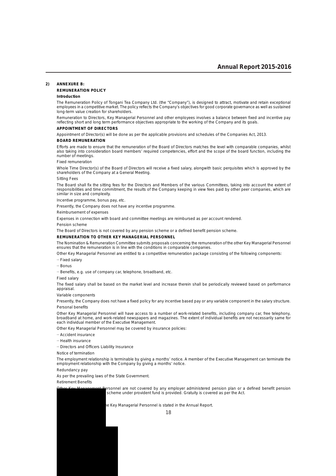#### **2) ANNEXURE B:**

#### **REMUNERATION POLICY**

#### **Introduction**

The Remuneration Policy of Tongani Tea Company Ltd. (the "Company"), is designed to attract, motivate and retain exceptional employees in a competitive market. The policy reflects the Company's objectives for good corporate governance as well as sustained long-term value creation for shareholders.

Remuneration to Directors, Key Managerial Personnel and other employees involves a balance between fixed and incentive pay reflecting short and long term performance objectives appropriate to the working of the Company and its goals.

#### **APPOINTMENT OF DIRECTORS**

Appointment of Director(s) will be done as per the applicable provisions and schedules of the Companies Act, 2013.

#### **BOARD REMUNERATION**

Efforts are made to ensure that the remuneration of the Board of Directors matches the level with comparable companies, whilst also taking into consideration board members' required competencies, effort and the scope of the board function, including the number of meetings.

Fixed remuneration

Whole Time Director(s) of the Board of Directors will receive a fixed salary, alongwith basic perquisites which is approved by the shareholders of the Company at a General Meeting.

#### Sitting Fees

The Board shall fix the sitting fees for the Directors and Members of the various Committees, taking into account the extent of responsibilities and time commitment, the results of the Company keeping in view fees paid by other peer companies, which are similar in size and complexity.

Incentive programme, bonus pay, etc.

Presently, the Company does not have any incentive programme.

Reimbursement of expenses

Expenses in connection with board and committee meetings are reimbursed as per account rendered.

Pension scheme

The Board of Directors is not covered by any pension scheme or a defined benefit pension scheme.

#### **REMUNERATION TO OTHER KEY MANAGERIAL PERSONNEL**

The Nomination & Remuneration Committee submits proposals concerning the remuneration of the other Key Managerial Personnel ensures that the remuneration is in line with the conditions in comparable companies.

Other Key Managerial Personnel are entitled to a competitive remuneration package consisting of the following components:

#### ·· Fixed salary

·· Bonus

·· Benefits, e.g. use of company car, telephone, broadband, etc.

#### Fixed salary

The fixed salary shall be based on the market level and increase therein shall be periodically reviewed based on performance appraisal.

Variable components

Presently, the Company does not have a fixed policy for any incentive based pay or any variable component in the salary structure. Personal benefits

Other Key Managerial Personnel will have access to a number of work-related benefits, including company car, free telephony, broadband at home, and work-related newspapers and magazines. The extent of individual benefits are not necessarily same for each individual member of the Executive Management.

Other Key Managerial Personnel may be covered by insurance policies:

- ·· Accident insurance
- ·· Health insurance

·· Directors and Officers Liability Insurance

Notice of termination

The employment relationship is terminable by giving a months' notice. A member of the Executive Management can terminate the employment relationship with the Company by giving a months' notice.

Redundancy pay

As per the prevailing laws of the State Government.

Retirement Benefits

rsonnel are not covered by any employer administered pension plan or a defined benefit pension scheme under provident fund is provided. Gratuity is covered as per the Act.

he Key Managerial Personnel is stated in the Annual Report.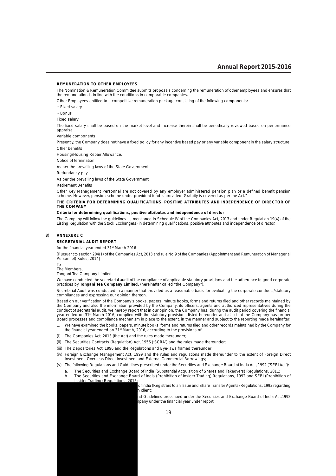#### **REMUNERATION TO OTHER EMPLOYEES**

The Nomination & Remuneration Committee submits proposals concerning the remuneration of other employees and ensures that the remuneration is in line with the conditions in comparable companies.

Other Employees entitled to a competitive remuneration package consisting of the following components:

·· Fixed salary

·· Bonus

Fixed salary

The fixed salary shall be based on the market level and increase therein shall be periodically reviewed based on performance appraisal.

Variable components

Presently, the Company does not have a fixed policy for any incentive based pay or any variable component in the salary structure. Other benefits

Housing/Housing Repair Allowance.

Notice of termination

As per the prevailing laws of the State Government.

Redundancy pay

As per the prevailing laws of the State Government.

Retirement Benefits

Other Key Management Personnel are not covered by any employer administered pension plan or a defined benefit pension scheme. However, pension scheme under provident fund is provided. Gratuity is covered as per the Act."

#### **THE CRITERIA FOR DETERMINING QUALIFICATIONS, POSITIVE ATTRIBUTES AND INDEPENDENCE OF DIRECTOR OF THE COMPANY**

#### **Criteria for determining qualifications, positive attributes and independence of director**

The Company will follow the guidelines as mentioned in Schedule IV of the Companies Act, 2013 and under Regulation 19(4) of the Listing Regulation with the Stock Exchange(s) in determining qualifications, positive attributes and independence of director.

#### **3) ANNEXURE C:**

#### **SECRETARIAL AUDIT REPORT**

for the financial year ended 31<sup>st</sup> March 2016

*[Pursuant to section 204(1) of the Companies Act, 2013 and rule No.9 of the Companies (Appointment and Remuneration of Managerial Personnel) Rules, 2014]*

To

#### The Members,

Tongani Tea Company Limited

We have conducted the secretarial audit of the compliance of applicable statutory provisions and the adherence to good corporate practices by **Tongani Tea Company Limited.** (hereinafter called "the Company").

Secretarial Audit was conducted in a manner that provided us a reasonable basis for evaluating the corporate conducts/statutory compliances and expressing our opinion thereon.

Based on our verification of the Company's books, papers, minute books, forms and returns filed and other records maintained by the Company and also the information provided by the Company, its officers, agents and authorized representatives during the conduct of secretarial audit, we hereby report that in our opinion, the Company has, during the audit period covering the financial year ended on 31st March 2016, complied with the statutory provisions listed hereunder and also that the Company has proper Board processes and compliance mechanism in place to the extent, in the manner and subject to the reporting made hereinafter:

- 1. We have examined the books, papers, minute books, forms and returns filed and other records maintained by the Company for the financial year ended on 31<sup>st</sup> March, 2016, according to the provisions of:
- (i) The Companies Act, 2013 (the Act) and the rules made thereunder;
- (ii) The Securities Contracts (Regulation) Act, 1956 ('SCRA') and the rules made thereunder;
- (iii) The Depositories Act, 1996 and the Regulations and Bye-laws framed thereunder;
- (iv) Foreign Exchange Management Act, 1999 and the rules and regulations made thereunder to the extent of Foreign Direct Investment, Overseas Direct Investment and External Commercial Borrowings;
- (v) The following Regulations and Guidelines prescribed under the Securities and Exchange Board of India Act, 1992 ('SEBI Act'):
	- a. The Securities and Exchange Board of India (Substantial Acquisition of Shares and Takeovers) Regulations, 2011; The Securities and Exchange Board of India (Prohibition of Insider Trading) Regulations, 1992 and SEBI (Prohibition of Insider Trading) Insider Trading) Regulations

of India (Registrars to an Issue and Share Transfer Agents) Regulations, 1993 regarding h client<sup>.</sup>

2. Providelines prescribed under the Securities and Exchange Board of India Act,1992 (SEBI 2008) per notable to the Company under the financial year under report: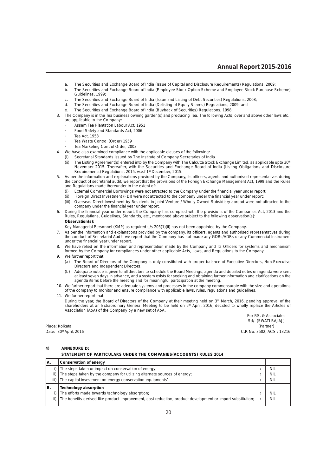- a. The Securities and Exchange Board of India (Issue of Capital and Disclosure Requirements) Regulations, 2009;
- b. The Securities and Exchange Board of India (Employee Stock Option Scheme and Employee Stock Purchase Scheme) Guidelines, 1999;
- c. The Securities and Exchange Board of India (Issue and Listing of Debt Securities) Regulations, 2008;
- d. The Securities and Exchange Board of India (Delisting of Equity Shares) Regulations, 2009; and
- e. The Securities and Exchange Board of India (Buyback of Securities) Regulations, 1998;
- 3. The Company is in the Tea business owning garden(s) and producing Tea. The following Acts, over and above other laws etc., are applicable to the Company:
	- Assam Tea Plantation Labour Act, 1951
	- Food Safety and Standards Act, 2006
	- Tea Act, 1953
	- Tea Waste Control (Order) 1959
	- Tea Marketing Control Order, 2003
- 4. We have also examined compliance with the applicable clauses of the following:
	- (i) Secretarial Standards issued by The Institute of Company Secretaries of India.
		- (ii) The Listing Agreement(s) entered into by the Company with The Calcutta Stock Exchange Limited, as applicable upto 30<sup>th</sup> November 2015. Thereafter, with the Securities and Exchange Board of India (Listing Obligations and Disclosure<br>Requirements) Regulations, 2015, w.e.f 1st December, 2015.
- 5. As per the information and explanations provided by the Company, its officers, agents and authorised representatives during the conduct of secretarial audit, we report that the provisions of the Foreign Exchange Management Act, 1999 and the Rules and Regulations made thereunder to the extent of:
	- (i) External Commercial Borrowings were not attracted to the Company under the financial year under report;
	- (ii) Foreign Direct Investment (FDI) were not attracted to the company under the financial year under report;
	- (iii) Overseas Direct Investment by Residents in Joint Venture / Wholly Owned Subsidiary abroad were not attracted to the company under the financial year under report.
- 6. During the financial year under report, the Company has complied with the provisions of the Companies Act, 2013 and the Rules, Regulations, Guidelines, Standards, etc., mentioned above subject to the following observation(s): *Observation(s)***:**

Key Managerial Personnel (KMP) as required u/s 203(1)(ii) has not been appointed by the Company.

- 7. As per the information and explanations provided by the company, its officers, agents and authorised representatives during the conduct of Secretarial Audit, we report that the Company has not made any GDRs/ADRs or any Commercial Instrument under the financial year under report.
- 8. We have relied on the information and representation made by the Company and its Officers for systems and mechanism formed by the Company for compliances under other applicable Acts, Laws, and Regulations to the Company.
- We further report that:
	- (a) The Board of Directors of the Company is duly constituted with proper balance of Executive Directors, Non-Executive Directors and Independent Directors.
- (b) Adequate notice is given to all directors to schedule the Board Meetings, agenda and detailed notes on agenda were sent at least seven days in advance, and a system exists for seeking and obtaining further information and clarifications on the agenda items before the meeting and for meaningful participation at the meeting.
- 10. We further report that there are adequate systems and processes in the company commensurate with the size and operations of the company to monitor and ensure compliance with applicable laws, rules, regulations and guidelines.
- 11. We further report that:

During the year, the Board of Directors of the Company at their meeting held on 3<sup>rd</sup> March, 2016, pending approval of the shareholders at an Extraordinary General Meeting to be held on 5<sup>th</sup> April, 2016, decided to wholly replace the Articles of Association (AoA) of the Company by a new set of AoA.

Place: Kolkata (Partner)

For P.S. & Associates Sd/- (SWATI BAJAJ) Date: 30<sup>th</sup> April, 2016 2016 2016 2016 2017 2018 2019 2020 2020 2020 2031 2040 2040 2051 2052, ACS : 13216

#### **4) ANNEXURE D:**

| IA.  | Conservation of energy                                                                                     |            |
|------|------------------------------------------------------------------------------------------------------------|------------|
| i) l | The steps taken or impact on conservation of energy;                                                       | NIL        |
|      | The steps taken by the company for utilizing alternate sources of energy;                                  | NIL        |
| iii) | The capital investment on energy conservation equipments'                                                  | NIL        |
| IB.  | Technology absorption                                                                                      |            |
|      | The efforts made towards technology absorption;                                                            | NIL        |
|      | The benefits derived like product improvement, cost reduction, product development or import substitution; | <b>NIL</b> |
|      |                                                                                                            |            |

**STATEMENT OF PARTICULARS UNDER THE COMPANIES(ACCOUNTS) RULES 2014**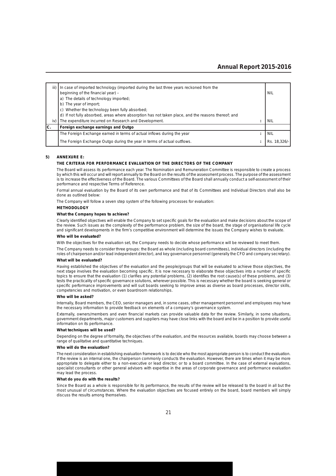| iii) | In case of imported technology (imported during the last three years reckoned from the<br>beginning of the financial year) -<br>a) The details of technology imported; | <b>NIL</b>  |
|------|------------------------------------------------------------------------------------------------------------------------------------------------------------------------|-------------|
|      | b) The year of import;                                                                                                                                                 |             |
|      | c) Whether the technology been fully absorbed;                                                                                                                         |             |
|      | d) If not fully absorbed, areas where absorption has not taken place, and the reasons thereof; and                                                                     |             |
| iv)  | The expenditure incurred on Research and Development.                                                                                                                  | NIL         |
| C.   | Foreign exchange earnings and Outgo                                                                                                                                    |             |
|      | The Foreign Exchange earned in terms of actual inflows during the year<br>٠                                                                                            | NIL         |
|      | The Foreign Exchange Outgo during the year in terms of actual outflows.                                                                                                | Rs. 18.326/ |

#### **5) ANNEXURE E:**

#### **THE CRITERIA FOR PERFORMANCE EVALUATION OF THE DIRECTORS OF THE COMPANY**

The Board will assess its performance each year. The Nomination and Remuneration Committee is responsible to create a process by which this will occur and will report annually to the Board on the results of the assessment process. The purpose of the assessment is to increase the effectiveness of the Board. The various Committees of the Board shall annually conduct a self-assessment of their performance and respective Terms of Reference.

Formal annual evaluation by the Board of its own performance and that of its Committees and Individual Directors shall also be done as outlined below:

The Company will follow a seven step system of the following processes for evaluation:

#### **METHODOLOGY**

#### **What the Company hopes to achieve?**

Clearly identified objectives will enable the Company to set specific goals for the evaluation and make decisions about the scope of the review. Such issues as the complexity of the performance problem, the size of the board, the stage of organisational life cycle and significant developments in the firm's competitive environment will determine the issues the Company wishes to evaluate.

#### **Who will be evaluated?**

With the objectives for the evaluation set, the Company needs to decide whose performance will be reviewed to meet them.

The Company needs to consider three groups: the Board as whole (including board committees), individual directors (including the roles of chairperson and/or lead independent director), and key governance personnel (generally the CFO and company secretary). **What will be evaluated?**

Having established the objectives of the evaluation and the people/groups that will be evaluated to achieve those objectives, the next stage involves the evaluation becoming specific. It is now necessary to elaborate these objectives into a number of specific topics to ensure that the evaluation (1) clarifies any potential problems, (2) identifies the root cause(s) of these problems, and (3) tests the practicality of specific governance solutions, wherever possible. This is necessary whether the board is seeking general or specific performance improvements and will suit boards seeking to improve areas as diverse as board processes, director skills, competencies and motivation, or even boardroom relationships.

#### **Who will be asked?**

Internally, Board members, the CEO, senior managers and, in some cases, other management personnel and employees may have the necessary information to provide feedback on elements of a company's governance system.

Externally, owners/members and even financial markets can provide valuable data for the review. Similarly, in some situations, government departments, major customers and suppliers may have close links with the board and be in a position to provide useful information on its performance.

#### **What techniques will be used?**

Depending on the degree of formality, the objectives of the evaluation, and the resources available, boards may choose between a range of qualitative and quantitative techniques.

#### **Who will do the evaluation?**

The next consideration in establishing evaluation framework is to decide who the most appropriate person is to conduct the evaluation. If the review is an internal one, the chairperson commonly conducts the evaluation. However, there are times when it may be more appropriate to delegate either to a non-executive or lead director, or to a board committee. In the case of external evaluations, specialist consultants or other general advisers with expertise in the areas of corporate governance and performance evaluation may lead the process.

#### **What do you do with the results?**

Since the Board as a whole is responsible for its performance, the results of the review will be released to the board in all but the most unusual of circumstances. Where the evaluation objectives are focused entirely on the board, board members will simply discuss the results among themselves.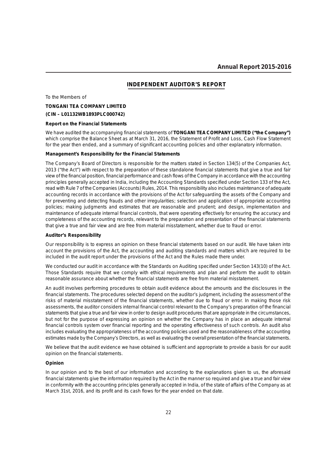# **INDEPENDENT AUDITOR'S REPORT**

To the Members of

#### **TONGANI TEA COMPANY LIMITED**

# **(CIN – L01132WB1893PLC000742)**

#### **Report on the Financial Statements**

We have audited the accompanying financial statements of *TONGANI TEA COMPANY LIMITED ("the Company")* which comprise the Balance Sheet as at March 31, 2016, the Statement of Profit and Loss, Cash Flow Statement for the year then ended, and a summary of significant accounting policies and other explanatory information.

#### **Management's Responsibility for the Financial Statements**

The Company's Board of Directors is responsible for the matters stated in Section 134(5) of the Companies Act, 2013 ("the Act") with respect to the preparation of these standalone financial statements that give a true and fair view of the financial position, financial performance and cash flows of the Company in accordance with the accounting principles generally accepted in India, including the Accounting Standards specified under Section 133 of the Act, read with Rule 7 of the Companies (Accounts) Rules, 2014. This responsibility also includes maintenance of adequate accounting records in accordance with the provisions of the Act for safeguarding the assets of the Company and for preventing and detecting frauds and other irregularities; selection and application of appropriate accounting policies; making judgments and estimates that are reasonable and prudent; and design, implementation and maintenance of adequate internal financial controls, that were operating effectively for ensuring the accuracy and completeness of the accounting records, relevant to the preparation and presentation of the financial statements that give a true and fair view and are free from material misstatement, whether due to fraud or error.

#### **Auditor's Responsibility**

Our responsibility is to express an opinion on these financial statements based on our audit. We have taken into account the provisions of the Act, the accounting and auditing standards and matters which are required to be included in the audit report under the provisions of the Act and the Rules made there under.

We conducted our audit in accordance with the Standards on Auditing specified under Section 143(10) of the Act. Those Standards require that we comply with ethical requirements and plan and perform the audit to obtain reasonable assurance about whether the financial statements are free from material misstatement.

An audit involves performing procedures to obtain audit evidence about the amounts and the disclosures in the financial statements. The procedures selected depend on the auditor's judgment, including the assessment of the risks of material misstatement of the financial statements, whether due to fraud or error. In making those risk assessments, the auditor considers internal financial control relevant to the Company's preparation of the financial statements that give a true and fair view in order to design audit procedures that are appropriate in the circumstances, but not for the purpose of expressing an opinion on whether the Company has in place an adequate internal financial controls system over financial reporting and the operating effectiveness of such controls. An audit also includes evaluating the appropriateness of the accounting policies used and the reasonableness of the accounting estimates made by the Company's Directors, as well as evaluating the overall presentation of the financial statements.

We believe that the audit evidence we have obtained is sufficient and appropriate to provide a basis for our audit opinion on the financial statements.

#### **Opinion**

In our opinion and to the best of our information and according to the explanations given to us, the aforesaid financial statements give the information required by the Act in the manner so required and give a true and fair view in conformity with the accounting principles generally accepted in India, of the state of affairs of the Company as at March 31st, 2016, and its profit and its cash flows for the year ended on that date.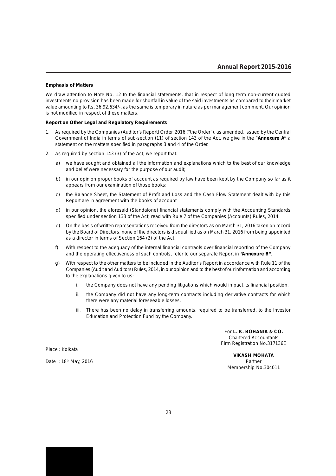#### **Emphasis of Matters**

We draw attention to Note No. 12 to the financial statements, that in respect of long term non-current quoted investments no provision has been made for shortfall in value of the said investments as compared to their market value amounting to Rs. 36,92,634/-, as the same is temporary in nature as per management comment. Our opinion is not modified in respect of these matters.

#### **Report on Other Legal and Regulatory Requirements**

- 1. As required by the Companies (Auditor's Report) Order, 2016 ("the Order"), as amended, issued by the Central Government of India in terms of sub-section (11) of section 143 of the Act, we give in the "*Annexure* **A"** a statement on the matters specified in paragraphs 3 and 4 of the Order.
- 2. As required by section 143 (3) of the Act, we report that:
	- a) we have sought and obtained all the information and explanations which to the best of our knowledge and belief were necessary for the purpose of our audit;
	- b) in our opinion proper books of account as required by law have been kept by the Company so far as it appears from our examination of those books;
	- c) the Balance Sheet, the Statement of Profit and Loss and the Cash Flow Statement dealt with by this Report are in agreement with the books of account
	- d) in our opinion, the aforesaid (Standalone) financial statements comply with the Accounting Standards specified under section 133 of the Act, read with Rule 7 of the Companies (Accounts) Rules, 2014.
	- e) On the basis of written representations received from the directors as on March 31, 2016 taken on record by the Board of Directors, none of the directors is disqualified as on March 31, 2016 from being appointed as a director in terms of Section 164 (2) of the Act.
	- f) With respect to the adequacy of the internal financial contraols over financial reporting of the Company and the operating effectiveness of such controls, refer to our separate Report in **"Annexure B"**.
	- g) With respect to the other matters to be included in the Auditor's Report in accordance with Rule 11 of the Companies (Audit and Auditors) Rules, 2014, in our opinion and to the best of our information and according to the explanations given to us:
		- i. the Company does not have any pending litigations which would impact its financial position.
		- ii. the Company did not have any long-term contracts including derivative contracts for which there were any material foreseeable losses.
		- iii. There has been no delay in transferring amounts, required to be transferred, to the Investor Education and Protection Fund by the Company.

For **L. K. BOHANIA & CO.** *Chartered Accountants* Firm Registration No.317136E

**VIKASH MOHATA** Membership No.304011

Place : Kolkata

Date : 18th May, 2016 *Partner*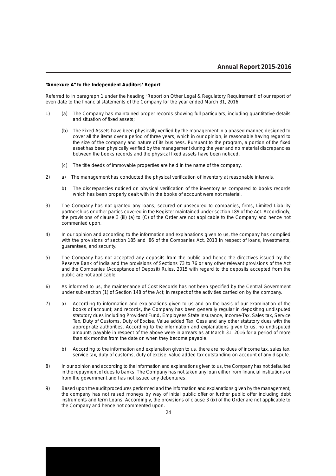#### **"Annexure A" to the Independent Auditors' Report**

Referred to in paragraph 1 under the heading 'Report on Other Legal & Regulatory Requirement' of our report of even date to the financial statements of the Company for the year ended March 31, 2016:

- 1) (a) The Company has maintained proper records showing full particulars, including quantitative details and situation of fixed assets;
	- (b) The Fixed Assets have been physically verified by the management in a phased manner, designed to cover all the items over a period of three years, which in our opinion, is reasonable having regard to the size of the company and nature of its business. Pursuant to the program, a portion of the fixed asset has been physically verified by the management during the year and no material discrepancies between the books records and the physical fixed assets have been noticed.
	- (c) The title deeds of immovable properties are held in the name of the company.
- 2) a) The management has conducted the physical verification of inventory at reasonable intervals.
	- b) The discrepancies noticed on physical verification of the inventory as compared to books records which has been properly dealt with in the books of account were not material.
- 3) The Company has not granted any loans, secured or unsecured to companies, firms, Limited Liability partnerships or other parties covered in the Register maintained under section 189 of the Act. Accordingly, the provisions of clause 3 (iii) (a) to (C) of the Order are not applicable to the Company and hence not commented upon.
- 4) In our opinion and according to the information and explanations given to us, the company has complied with the provisions of section 185 and I86 of the Companies Act, 2013 In respect of loans, investments, guarantees, and security.
- 5) The Company has not accepted any deposits from the public and hence the directives issued by the Reserve Bank of India and the provisions of Sections 73 to 76 or any other relevant provisions of the Act and the Companies (Acceptance of Deposit) Rules, 2015 with regard to the deposits accepted from the public are not applicable.
- 6) As informed to us, the maintenance of Cost Records has not been specified by the Central Government under sub-section (1) of Section 148 of the Act, in respect of the activities carried on by the company.
- 7) a) According to information and explanations given to us and on the basis of our examination of the books of account, and records, the Company has been generally regular in depositing undisputed statutory dues including Provident Fund, Employees State Insurance, Income-Tax, Sales tax, Service Tax, Duty of Customs, Duty of Excise, Value added Tax, Cess and any other statutory dues with the appropriate authorities. According to the information and explanations given to us, no undisputed amounts payable in respect of the above were in arrears as at March 31, 2016 for a period of more than six months from the date on when they become payable.
	- b) According to the information and explanation given to us, there are no dues of income tax, sales tax, service tax, duty of customs, duty of excise, value added tax outstanding on account of any dispute.
- 8) In our opinion and according to the information and explanations given to us, the Company has not defaulted in the repayment of dues to banks. The Company has not taken any loan either from financial institutions or from the government and has not issued any debentures.
- 9) Based upon the audit procedures performed and the information and explanations given by the management, the company has not raised moneys by way of initial public offer or further public offer including debt instruments and term Loans. Accordingly, the provisions of clause 3 (ix) of the Order are not applicable to the Company and hence not commented upon.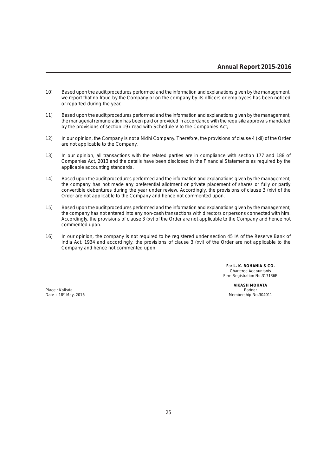- 10) Based upon the audit procedures performed and the information and explanations given by the management, we report that no fraud by the Company or on the company by its officers or employees has been noticed or reported during the year.
- 11) Based upon the audit procedures performed and the information and explanations given by the management, the managerial remuneration has been paid or provided in accordance with the requisite approvals mandated by the provisions of section 197 read with Schedule V to the Companies Act;
- 12) In our opinion, the Company is not a Nidhi Company. Therefore, the provisions of clause 4 (xii) of the Order are not applicable to the Company.
- 13) In our opinion, all transactions with the related parties are in compliance with section 177 and 188 of Companies Act, 2013 and the details have been disclosed in the Financial Statements as required by the applicable accounting standards.
- 14) Based upon the audit procedures performed and the information and explanations given by the management, the company has not made any preferential allotment or private placement of shares or fully or partly convertible debentures during the year under review. Accordingly, the provisions of clause 3 (xiv) of the Order are not applicable to the Company and hence not commented upon.
- 15) Based upon the audit procedures performed and the information and explanations given by the management, the company has not entered into any non-cash transactions with directors or persons connected with him. Accordingly, the provisions of clause 3 (xv) of the Order are not applicable to the Company and hence not commented upon.
- 16) In our opinion, the company is not required to be registered under section 45 IA of the Reserve Bank of India Act, 1934 and accordingly, the provisions of clause 3 (xvi) of the Order are not applicable to the Company and hence not commented upon.

For **L. K. BOHANIA & CO.** *Chartered Accountants* Firm Registration No.317136E

Place : Kolkata *Partner*

**VIKASH MOHATA** Membership No.304011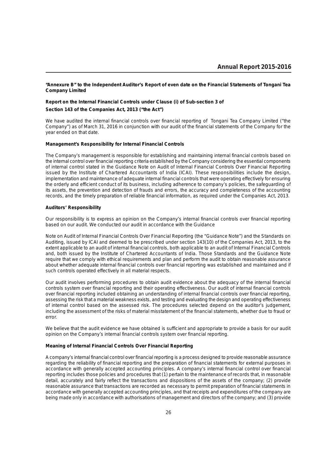#### **"Annexure B" to the Independent Auditor's Report of even date on the Financial Statements of Tongani Tea Company Limited**

#### **Report on the Internal Financial Controls under Clause (i) of Sub-section 3 of Section 143 of the Companies Act, 2013 ("the Act")**

We have audited the internal financial controls over financial reporting of Tongani Tea Company Limited ("the Company") as of March 31, 2016 in conjunction with our audit of the financial statements of the Company for the year ended on that date.

#### **Management's Responsibility for Internal Financial Controls**

The Company's management is responsible for establishing and maintaining internal financial controls based on the internal control over financial reporting criteria established by the Company considering the essential components of internal control stated in the Guidance Note on Audit of Internal Financial Controls Over Financial Reporting issued by the Institute of Chartered Accountants of India (ICAI). These responsibilities include the design, implementation and maintenance of adequate internal financial controls that were operating effectively for ensuring the orderly and efficient conduct of its business, including adherence to company's policies, the safeguarding of its assets, the prevention and detection of frauds and errors, the accuracy and completeness of the accounting records, and the timely preparation of reliable financial information, as required under the Companies Act, 2013.

#### **Auditors' Responsibility**

Our responsibility is to express an opinion on the Company's internal financial controls over financial reporting based on our audit. We conducted our audit in accordance with the Guidance

Note on Audit of Internal Financial Controls Over Financial Reporting (the "Guidance Note") and the Standards on Auditing, issued by ICAI and deemed to be prescribed under section 143(10) of the Companies Act, 2013, to the extent applicable to an audit of internal financial controls, both applicable to an audit of Internal Financial Controls and, both issued by the Institute of Chartered Accountants of India. Those Standards and the Guidance Note require that we comply with ethical requirements and plan and perform the audit to obtain reasonable assurance about whether adequate internal financial controls over financial reporting was established and maintained and if such controls operated effectively in all material respects.

Our audit involves performing procedures to obtain audit evidence about the adequacy of the internal financial controls system over financial reporting and their operating effectiveness. Our audit of internal financial controls over financial reporting included obtaining an understanding of internal financial controls over financial reporting, assessing the risk that a material weakness exists, and testing and evaluating the design and operating effectiveness of internal control based on the assessed risk. The procedures selected depend on the auditor's judgement, including the assessment of the risks of material misstatement of the financial statements, whether due to fraud or error.

We believe that the audit evidence we have obtained is sufficient and appropriate to provide a basis for our audit opinion on the Company's internal financial controls system over financial reporting.

#### **Meaning of Internal Financial Controls Over Financial Reporting**

A company's internal financial control over financial reporting is a process designed to provide reasonable assurance regarding the reliability of financial reporting and the preparation of financial statements for external purposes in accordance with generally accepted accounting principles. A company's internal financial control over financial reporting includes those policies and procedures that (1) pertain to the maintenance of records that, in reasonable detail, accurately and fairly reflect the transactions and dispositions of the assets of the company; (2) provide reasonable assurance that transactions are recorded as necessary to permit preparation of financial statements in accordance with generally accepted accounting principles, and that receipts and expenditures of the company are being made only in accordance with authorisations of management and directors of the company; and (3) provide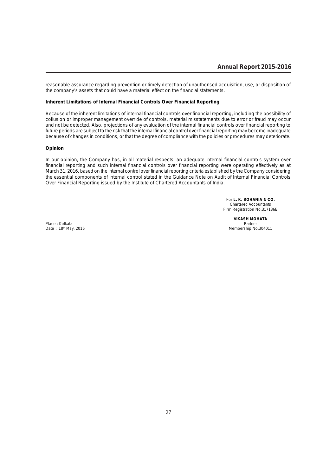reasonable assurance regarding prevention or timely detection of unauthorised acquisition, use, or disposition of the company's assets that could have a material effect on the financial statements.

#### **Inherent Limitations of Internal Financial Controls Over Financial Reporting**

Because of the inherent limitations of internal financial controls over financial reporting, including the possibility of collusion or improper management override of controls, material misstatements due to error or fraud may occur and not be detected. Also, projections of any evaluation of the internal financial controls over financial reporting to future periods are subject to the risk that the internal financial control over financial reporting may become inadequate because of changes in conditions, or that the degree of compliance with the policies or procedures may deteriorate.

#### **Opinion**

In our opinion, the Company has, in all material respects, an adequate internal financial controls system over financial reporting and such internal financial controls over financial reporting were operating effectively as at March 31, 2016, based on the internal control over financial reporting criteria established by the Company considering the essential components of internal control stated in the Guidance Note on Audit of Internal Financial Controls Over Financial Reporting issued by the Institute of Chartered Accountants of India.

> For **L. K. BOHANIA & CO.** *Chartered Accountants* Firm Registration No.317136E

Place : Kolkata *Partner*

**VIKASH MOHATA** Membership No.304011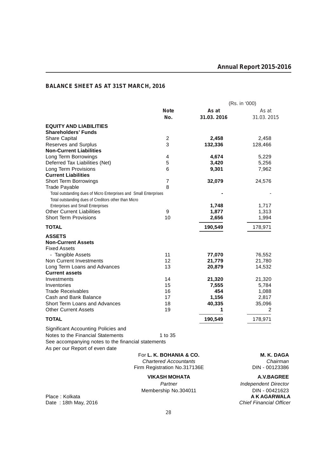# **BALANCE SHEET AS AT 31ST MARCH, 2016**

|                                                                   |                | (Rs. in '000) |            |  |
|-------------------------------------------------------------------|----------------|---------------|------------|--|
|                                                                   | <b>Note</b>    | As at         | As at      |  |
|                                                                   | No.            | 31.03.2016    | 31.03.2015 |  |
| <b>EQUITY AND LIABILITIES</b>                                     |                |               |            |  |
| <b>Shareholders' Funds</b>                                        |                |               |            |  |
| <b>Share Capital</b>                                              | $\overline{2}$ | 2,458         | 2,458      |  |
| <b>Reserves and Surplus</b>                                       | 3              | 132,336       | 128,466    |  |
| <b>Non-Current Liabilities</b>                                    |                |               |            |  |
| Long Term Borrowings                                              | 4              | 4,674         | 5,229      |  |
| Deferred Tax Liabilities (Net)                                    | 5              | 3,420         | 5,256      |  |
| Long Term Provisions                                              | 6              | 9,301         | 7,962      |  |
| <b>Current Liabilities</b>                                        |                |               |            |  |
| <b>Short Term Borrowings</b>                                      | $\overline{7}$ | 32,079        | 24,576     |  |
| <b>Trade Payable</b>                                              | 8              |               |            |  |
| Total outstanding dues of Micro Enterprises and Small Enterprises |                |               |            |  |
| Total outstanding dues of Creditors other than Micro              |                |               |            |  |
| <b>Enterprises and Small Enterprises</b>                          |                | 1,748         | 1,717      |  |
| <b>Other Current Liabilities</b>                                  | 9              | 1,877         | 1,313      |  |
| <b>Short Term Provisions</b>                                      | 10             | 2,656         | 1,994      |  |
|                                                                   |                |               |            |  |
| <b>TOTAL</b>                                                      |                | 190,549       | 178,971    |  |
| <b>ASSETS</b>                                                     |                |               |            |  |
| <b>Non-Current Assets</b>                                         |                |               |            |  |
| <b>Fixed Assets</b>                                               |                |               |            |  |
| - Tangible Assets                                                 | 11             | 77,070        | 76,552     |  |
| Non Current Investments                                           | 12             | 21,779        | 21,780     |  |
| Long Term Loans and Advances                                      | 13             | 20,879        | 14,532     |  |
| <b>Current assets</b>                                             |                |               |            |  |
| Investments                                                       | 14             | 21,320        | 21,320     |  |
| Inventories                                                       | 15             | 7,555         | 5,784      |  |
| <b>Trade Receivables</b>                                          | 16             | 454           | 1,088      |  |
| Cash and Bank Balance                                             | 17             | 1,156         | 2,817      |  |
| Short Term Loans and Advances                                     | 18             | 40,335        | 35,096     |  |
| <b>Other Current Assets</b>                                       | 19             | 1             | 2          |  |
| <b>TOTAL</b>                                                      |                | 190,549       | 178,971    |  |
| Significant Accounting Policies and                               |                |               |            |  |
| Notes to the Financial Statements                                 | 1 to 35        |               |            |  |
| See accompanying notes to the financial statements                |                |               |            |  |

As per our Report of even date

# For **L. K. BOHANIA & CO.** M. K. DAGA

*Chartered Accountants Chairman* Firm Registration No.317136E

# **VIKASH MOHATA A.V.BAGREE**

Membership No.304011 DIN - 00421623

Place : Kolkata **A K AGARWALA**<br>
Date : 18th May, 2016 **A K AGARWALA**<br>
Chief Financial Officer Date: 18th May, 2016

# **Partner Independent Director**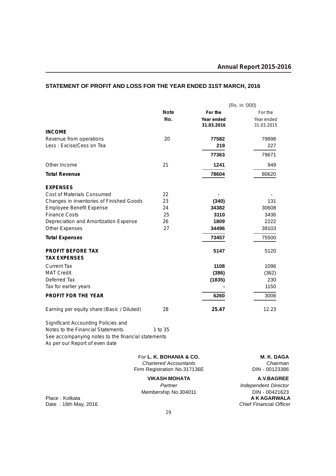# **STATEMENT OF PROFIT AND LOSS FOR THE YEAR ENDED 31ST MARCH, 2016**

|                                                                                      |                                                  | (Rs. in '000) |                               |  |
|--------------------------------------------------------------------------------------|--------------------------------------------------|---------------|-------------------------------|--|
|                                                                                      | <b>Note</b>                                      | For the       | For the                       |  |
|                                                                                      | No.                                              | Year ended    | Year ended                    |  |
|                                                                                      |                                                  | 31.03.2016    | 31.03.2015                    |  |
| <b>INCOME</b>                                                                        |                                                  |               |                               |  |
| Revenue from operations<br>Less: Excise/Cess on Tea                                  | 20                                               | 77582         | 79898                         |  |
|                                                                                      |                                                  | 219           | 227                           |  |
|                                                                                      |                                                  | 77363         | 79671                         |  |
| Other Income                                                                         | 21                                               | 1241          | 949                           |  |
| <b>Total Revenue</b>                                                                 |                                                  | 78604         | 80620                         |  |
| <b>EXPENSES</b>                                                                      |                                                  |               |                               |  |
| Cost of Materials Consumed                                                           | 22                                               |               |                               |  |
| Changes in inventories of Finished Goods                                             | 23                                               | (340)         | 131                           |  |
| Employee Benefit Expense                                                             | 24                                               | 34382         | 30608                         |  |
| <b>Finance Costs</b>                                                                 | 25                                               | 3110          | 3436                          |  |
| Depreciation and Amortization Expense                                                | 26                                               | 1809          | 2222                          |  |
| <b>Other Expenses</b>                                                                | 27                                               | 34496         | 39103                         |  |
| <b>Total Expenses</b>                                                                |                                                  | 73457         | 75500                         |  |
| <b>PROFIT BEFORE TAX</b>                                                             |                                                  | 5147          | 5120                          |  |
| <b>TAX EXPENSES</b>                                                                  |                                                  |               |                               |  |
| <b>Current Tax</b>                                                                   |                                                  | 1108          | 1096                          |  |
| <b>MAT Credit</b>                                                                    |                                                  | (386)         | (362)                         |  |
| Deferred Tax                                                                         |                                                  | (1835)        | 230                           |  |
| Tax for earlier years                                                                |                                                  |               | 1150                          |  |
| PROFIT FOR THE YEAR                                                                  |                                                  | 6260          | 3006                          |  |
| Earning per equity share: (Basic / Diluted)                                          | 28                                               | 25.47         | 12.23                         |  |
| Significant Accounting Policies and                                                  |                                                  |               |                               |  |
| Notes to the Financial Statements                                                    | 1 to 35                                          |               |                               |  |
| See accompanying notes to the financial statements<br>As per our Report of even date |                                                  |               |                               |  |
|                                                                                      | For L. K. BOHANIA & CO.<br>Chartered Accountants |               | <b>M. K. DAGA</b><br>Chairman |  |

*Chartered Accountants*<br>m Registration No.317136E **Chairman**<br>DIN - 00123386 Firm Registration No.317136E

# **VIKASH MOHATA A.V.BAGREE**

Membership No.304011 DIN - 00421623

Place : Kolkata **A K AGARWALA**<br>
Date : 18th May, 2016 **A K AGARWALA**<br>
Chief Financial Officer Date: 18th May, 2016

# Partner **Independent Director**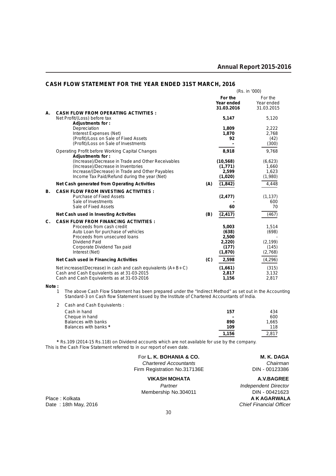|                |                                                                                                                                                                                                                   | (Rs. in '000) |                                                        |                                                |
|----------------|-------------------------------------------------------------------------------------------------------------------------------------------------------------------------------------------------------------------|---------------|--------------------------------------------------------|------------------------------------------------|
|                |                                                                                                                                                                                                                   |               | For the<br>Year ended<br>31.03.2016                    | For the<br>Year ended<br>31.03.2015            |
| Α.             | <b>CASH FLOW FROM OPERATING ACTIVITIES:</b><br>Net Profit/(Loss) before tax<br>Adjustments for:                                                                                                                   |               | 5,147                                                  | 5,120                                          |
|                | Depreciation<br>Interest Expenses (Net)<br>(Profit)/Loss on Sale of Fixed Assets<br>(Profit)/Loss on Sale of Investments                                                                                          |               | 1,809<br>1,870<br>92                                   | 2,222<br>2,768<br>(42)<br>(300)                |
|                | Operating Profit before Working Capital Changes<br>Adjustments for:                                                                                                                                               |               | 8,918                                                  | 9,768                                          |
|                | (Increase)/Decrease in Trade and Other Receivables<br>(Increase)/Decrease in Inventories<br>Increase/(Decrease) in Trade and Other Payables<br>Income Tax Paid/Refund during the year (Net)                       |               | (10, 568)<br>(1, 771)<br>2,599<br>(1,020)              | (6,623)<br>1,660<br>1,623<br>(1,980)           |
|                | Net Cash generated from Operating Activities                                                                                                                                                                      | (A)           | (1, 842)                                               | 4,448                                          |
| <b>B.</b>      | <b>CASH FLOW FROM INVESTING ACTIVITIES:</b><br>Purchase of Fixed Assets<br>Sale of Investments<br>Sale of Fixed Assets                                                                                            |               | (2, 477)<br>60                                         | (1, 137)<br>600<br>70                          |
|                | Net Cash used in Investing Activities                                                                                                                                                                             | (B)           | (2, 417)                                               | (467)                                          |
| $\mathsf{C}$ . | <b>CASH FLOW FROM FINANCING ACTIVITIES:</b><br>Proceeds from cash credit<br>Auto Loan for purchase of vehicles<br>Proceeds from unsecured loans<br>Dividend Paid<br>Corporate Dividend Tax paid<br>Interest (Net) |               | 5,003<br>(638)<br>2,500<br>2,220)<br>(177)<br>(1, 870) | 1,514<br>(698)<br>(2, 199)<br>(145)<br>(2,768) |
|                | Net Cash used in Financing Activities                                                                                                                                                                             | (C)           | 2,598                                                  | (4, 296)                                       |
|                | Net increase/(Decrease) in cash and cash equivalents $(A + B + C)$<br>Cash and Cash Equivalents as at 31-03-2015<br>Cash and Cash Equivalents as at 31-03-2016                                                    |               | (1,661)<br>2,817<br>1,156                              | (315)<br>3,132<br>2,817                        |

## **CASH FLOW STATEMENT FOR THE YEAR ENDED 31ST MARCH, 2016**

**Note :**

1 The above Cash Flow Statement has been prepared under the "Indirect Method" as set out in the Accounting Standard-3 on Cash flow Statement issued by the Institute of Chartered Accountants of India.

2 Cash and Cash Equivalents :

| 157   | 434   |
|-------|-------|
| -     | 600   |
| 890   | 1.665 |
| 109   | 118   |
| 1.156 | 2.817 |
|       |       |

**\*** Rs.109 (2014-15 Rs.118) on Dividend accounts which are not available for use by the company. This is the Cash Flow Statement referred to in our report of even date.

| M. K. DAGA     | For L. K. BOHANIA & CO.      |
|----------------|------------------------------|
| Chairman       | <b>Chartered Accountants</b> |
| DIN - 00123386 | Firm Registration No.317136E |
| A.V.BAGREE     | <b>VIKASH MOHATA</b>         |

Place : Kolkata **A K AGARWALA**<br>
Date : 18th May, 2016 **A K AGARWALA**<br>
Date : 18th May, 2016 Date: 18th May, 2016

Partner **Independent Director** Membership No.304011 DIN - 00421623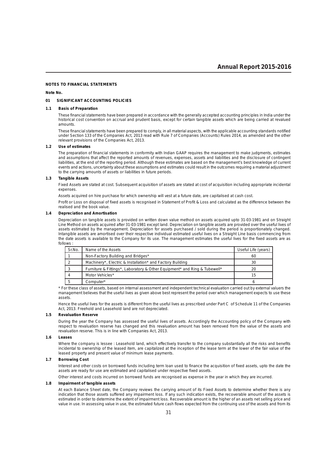#### **NOTES TO FINANCIAL STATEMENTS**

#### **Note No.**

#### **01 SIGNIFICANT ACCOUNTING POLICIES**

#### **1.1 Basis of Preparation**

These financial statements have been prepared in accordance with the generally accepted accounting principles in India under the historical cost convention on accrual and prudent basis, except for certain tangible assets which are being carried at revalued amounts.

These financial statements have been prepared to comply, in all material aspects, with the applicable accounting standards notified under Section 133 of the Companies Act, 2013 read with Rule 7 of Companies (Accounts) Rules 2014, as amended and the other relevant provisions of the Companies Act, 2013.

#### **1.2 Use of estimates**

The preparation of financial statements in conformity with Indian GAAP requires the management to make judgments, estimates and assumptions that affect the reported amounts of revenues, expenses, assets and liabilities and the disclosure of contingent liabilities, at the end of the reporting period. Although these estimates are based on the management's best knowledge of current events and actions, uncertainty about these assumptions and estimates could result in the outcomes requiring a material adjustment to the carrying amounts of assets or liabilities in future periods.

#### **1.3 Tangible Assets**

Fixed Assets are stated at cost. Subsequent acquisition of assets are stated at cost of acquisition including appropriate incidental expenses.

Assets acquired on hire purchase for which ownership will vest at a future date, are capitalised at cash cost.

Profit or Loss on disposal of fixed assets is recognised in Statement of Profit & Loss and calculated as the difference between the realised and the book value.

#### **1.4 Depreciation and Amortisation**

Depreciation on tangible assets is provided on written down value method on assets acquired upto 31-03-1981 and on Straight Line Method on assets acquired after 31-03-1981 except land. Depreciation on tangible assets are provided over the useful lives of assets estimated by the management. Depreciation for assets purchased / sold during the period is proportionately changed. Intangible assets are amortised over their respective individual estimated useful lives on a Straight Line basis commencing from the date assets is available to the Company for its use. The management estimates the useful lives for the fixed assets are as follows :

| Sr.No. | Name of the Assets                                                        | Useful Life (years) |
|--------|---------------------------------------------------------------------------|---------------------|
|        | Non-Factory Building and Bridges*                                         | 60                  |
|        | Machinery*, Electric & Installation* and Factory Building                 | 30                  |
|        | Furniture & Fittings*, Laboratory & Other Equipment* and Ring & Tubewell* | 20                  |
|        | Motor Vehicles*                                                           | 15                  |
|        | Computer*                                                                 |                     |

\* For these class of assets, based on internal assessment and independent technical evaluation carried out by external valuers the management believes that the useful lives as given above best represent the period over which management expects to use these assets.

Hence the useful lives for the assets is different from the useful lives as prescribed under Part C of Schedule 11 of the Companies Act, 2013. Freehold and Leasehold land are not depreciated.

#### **1.5 Revaluation Reserve**

During the year the Company has assessed the useful lives of assets. Accordingly the Accounting policy of the Company with respect to revaluation reserve has changed and this revaluation amount has been removed from the value of the assets and revaluation reserve. This is in line with Companies Act, 2013.

#### **1.6 Leases**

Where the company is lessee : Leasehold land, which effectively transfer to the company substantially all the risks and benefits incidental to ownership of the leased item, are capitalized at the inception of the lease term at the lower of the fair value of the leased property and present value of minimum lease payments.

#### **1.7 Borrowing Cost**

Interest and other costs on borrowed funds including term loan used to finance the acquisition of fixed assets, upto the date the assets are ready for use are estimated and capitalised under respective fixed assets.

Other interest and costs incurred on borrowed funds are recognised as expense in the year in which they are incurred.

#### **1.8 Impairment of tangible assets**

At each Balance Sheet date, the Company reviews the carrying amount of its Fixed Assets to determine whether there is any indication that those assets suffered any impairment loss. If any such indication exists, the recoverable amount of the assets is estimated in order to determine the extent of impairment loss. Recoverable amount is the higher of an assets net selling price and value in use. In assessing value in use, the estimated future cash flows expected from the continuing use of the assets and from its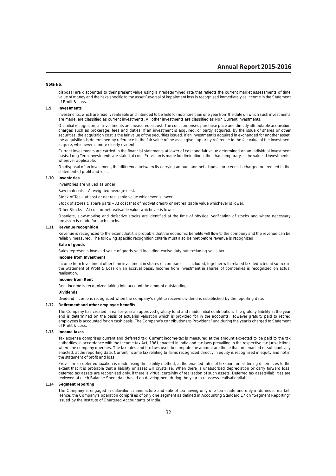#### **Note No.**

disposal are discounted to their present value using a Predetermined rate that reflects the current market assessments of time value of money and the risks specific to the asset Reversal of impairment loss is recognised immediately as income in the Statement of Profit & Loss.

#### **1.9 Investments**

Investments, which are readily realizable and intended to be held for not more than one year from the date on which such investments are made, are classified as current investments. All other investments are classified as Non Current Investments.

On initial recognition, all investments are measured at cost. The cost comprises purchase price and directly attributable acquisition charges such as brokerage, fees and duties. If an investment is acquired, or partly acquired, by the issue of shares or other securities, the acquisition cost is the fair value of the securities issued. If an investment is acquired in exchanged for another asset, the acquisition is determined by reference to the fair value of the asset given up or by reference to the fair value of the investment acquire, whichever is more clearly evident.

Current investments are carried in the financial statements at lower of cost and fair value determined on an individual investment basis. Long Term Investments are stated at cost. Provision is made for diminution, other than temporary, in the value of investments, wherever applicable.

On disposal of an investment, the difference between its carrying amount and net disposal proceeds is charged or credited to the statement of profit and loss.

#### **1.10 Inventories**

Inventories are valued as under :

Raw materials – At weighted average cost.

Stock of Tea – at cost or net realisable value whichever is lower.

Stock of stores & spare parts – At cost (net of modvat credit) or net realizable value whichever is lower.

Other Stocks – At cost or net realisable value whichever is lower.

Obsolete, slow-moving and defective stocks are identified at the time of physical verification of stocks and where necessary provision is made for such stocks.

#### **1.11 Revenue recognition**

Revenue is recognized to the extent that it is probable that the economic benefits will flow to the company and the revenue can be reliably measured. The following specific recognition criteria must also be met before revenue is recognized :

#### **Sale of goods**

Sales represents invoiced value of goods sold including excise duty but excluding sales tax.

#### **Income from Investment**

Income from Investment other than investment in shares of companies is included, together with related tax deducted at source in the Statement of Profit & Loss on an accrual basis. Income from investment in shares of companies is recognized on actual realisation.

#### **Income from Rent**

Rent income is recognized taking into account the amount outstanding.

#### **Dividends**

Dividend income is recognized when the company's right to receive dividend is established by the reporting date.

#### **1.12 Retirement and other employee benefits**

The Company has created in earlier year an approved gratuity fund and made initial contribution. The gratuity liability at the year end is determined on the basis of actuarial valuation which is provided for in the accounts. However gratuity paid to retired employees is accounted for on cash basis. The Company's contributions to Provident Fund during the year is charged to Statement of Profit & Loss.

#### **1.13 Income taxes**

Tax expense comprises current and deferred tax. Current income-tax is measured at the amount expected to be paid to the tax authorities in accordance with the Income-tax Act, 1961 enacted in India and tax laws prevailing in the respective tax jurisdictions where the company operates. The tax rates and tax laws used to compute the amount are those that are enacted or substantively enacted, at the reporting date. Current income tax relating to items recognized directly in equity is recognized in equity and not in the statement of profit and loss.

Provision for deferred taxation is made using the liability method, at the enacted rates of taxation, on all timing differences to the extent that it is probable that a liability or asset will crystalise. When there is unabsorbed depreciation or carry forward loss, deferred tax assets are recognised only, if there is virtual certainity of realisation of such assets. Deferred tax assets/liabilities are reviewed at each Balance Sheet date based on development during the year to reassess realisation/liabilities.

#### **1.14 Segment reporting**

The Company is engaged in cultivation, manufacture and sale of tea having only one tea estate and only in domestic market. Hence, the Company's operation comprises of only one segment as defined in Accounting Standard 17 on "Segment Reporting" issued by the Institute of Chartered Accountants of India.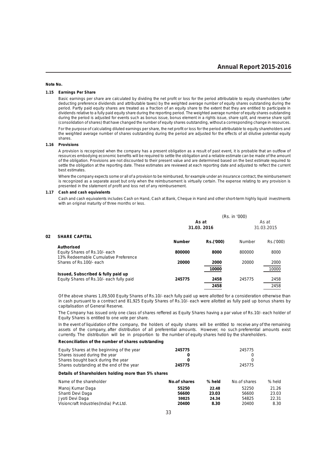#### **Note No.**

#### **1.15 Earnings Per Share**

Basic earnings per share are calculated by dividing the net profit or loss for the period attributable to equity shareholders (after deducting preference dividends and attributable taxes) by the weighted average number of equity shares outstanding during the period. Partly paid equity shares are treated as a fraction of an equity share to the extent that they are entitled to participate in dividends relative to a fully paid equity share during the reporting period. The weighted average number of equity shares outstanding during the period is adjusted for events such as bonus issue, bonus element in a rights issue, share split, and reverse share split (consolidation of shares) that have changed the number of equity shares outstanding, without a corresponding change in resources. For the purpose of calculating diluted earnings per share, the net profit or loss for the period attributable to equity shareholders and the weighted average number of shares outstanding during the period are adjusted for the effects of all dilutive potential equity shares.

#### **1.16 Provisions**

A provision is recognized when the company has a present obligation as a result of past event, it is probable that an outflow of resources embodying economic benefits will be required to settle the obligation and a reliable estimate can be made of the amount of the obligation. Provisions are not discounted to their present value and are determined based on the best estimate required to settle the obligation at the reporting date. These estimates are reviewed at each reporting date and adjusted to reflect the current best estimates.

Where the company expects some or all of a provision to be reimbursed, for example under an insurance contract, the reimbursement is recognized as a separate asset but only when the reimbursement is virtually certain. The expense relating to any provision is presented in the statement of profit and loss net of any reimbursement.

#### **1.17 Cash and cash equivalents**

Cash and cash equivalents includes Cash on Hand, Cash at Bank, Cheque in Hand and other short-term highly liquid investments with an original maturity of three months or less.

|    |                                                                       | (Rs. in '000) |                     |        |                     |
|----|-----------------------------------------------------------------------|---------------|---------------------|--------|---------------------|
|    |                                                                       |               | As at<br>31.03.2016 |        | As at<br>31.03.2015 |
| 02 | <b>SHARE CAPITAL</b>                                                  | <b>Number</b> | Rs.('000)           | Number | Rs.('000)           |
|    | Authorised                                                            |               |                     |        |                     |
|    | Equity Shares of Rs.10/- each<br>13% Redeemable Cumulative Preference | 800000        | 8000                | 800000 | 8000                |
|    | Shares of Rs.100/- each                                               | 20000         | 2000                | 20000  | 2000                |
|    |                                                                       |               | 10000               |        | 10000               |
|    | Issued, Subscribed & fully paid up                                    |               |                     |        |                     |
|    | Equity Shares of Rs.10/- each fully paid                              | 245775        | 2458                | 245775 | 2458                |
|    |                                                                       |               | 2458                |        | 2458                |

Of the above shares 1,09,500 Equity Shares of Rs.10/- each fully paid up were allotted for a consideration otherwise than in cash pursuant to a contract and 81,925 Equity Shares of Rs.10/- each were allotted as fully paid up bonus shares by capitalisation of General Reserve.

The Company has issued only one class of shares reffered as Equity Shares having a par value of Rs.10/- each holder of Equity Shares is entitled to one vote per share.

In the event of liquidation of the company, the holders of equity shares will be entitled to receive any of the remaining assets of the company, after distribution of all preferential amounts. However, no such preferential amounts exist currently. The distribution will be in proportion to the number of equity shares held by the shareholders.

#### **Reconciliation of the number of shares outstanding**

| Equity Shares at the beginning of the year<br>Shares issued during the year<br>Shares bought back during the year | 245775 | 245775 |
|-------------------------------------------------------------------------------------------------------------------|--------|--------|
| Shares outstanding at the end of the year                                                                         | 245775 | 245775 |

#### **Details of Shareholders holding more than 5% shares**

| Name of the shareholder                  | No.of shares | % held | No.of shares | % held |
|------------------------------------------|--------------|--------|--------------|--------|
| Manoj Kumar Daga                         | 55250        | 22.48  | 52250        | 21.26  |
| Shanti Devi Daga                         | 56600        | 23.03  | 56600        | 23.03  |
| Jyoti Devi Daga                          | 59825        | 24.34  | 54825        | 22.31  |
| Visioncraft Industries (India) Pvt. Ltd. | 20400        | 8.30   | 20400        | 8.30   |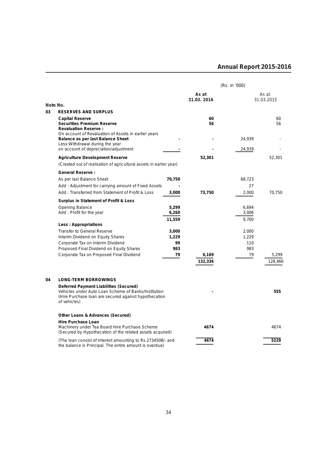|    |                                                                                                                                                                                                        | (Rs. in '000)                     |                     |                                    |                     |
|----|--------------------------------------------------------------------------------------------------------------------------------------------------------------------------------------------------------|-----------------------------------|---------------------|------------------------------------|---------------------|
|    | Note No.                                                                                                                                                                                               |                                   | As at<br>31.03.2016 |                                    | As at<br>31.03.2015 |
| 03 | <b>RESERVES AND SURPLUS</b>                                                                                                                                                                            |                                   |                     |                                    |                     |
|    | <b>Capital Reserve</b><br><b>Securities Premium Reserve</b><br><b>Revaluation Reserve:</b><br>On account of Revaluation of Assets in earlier years                                                     |                                   | 60<br>56            |                                    | 60<br>56            |
|    | Balance as per last Balance Sheet<br>Less: Withdrawal during the year<br>on account of depreciation/adjustment                                                                                         |                                   |                     | 24,939<br>24,939                   |                     |
|    | <b>Agriculture Development Reserve</b>                                                                                                                                                                 |                                   | 52,301              |                                    | 52,301              |
|    | (Created out of realisation of agricultural assets in earlier year)                                                                                                                                    |                                   |                     |                                    |                     |
|    | <b>General Reserve:</b>                                                                                                                                                                                |                                   |                     |                                    |                     |
|    | As per last Balance Sheet                                                                                                                                                                              | 70,750                            |                     | 68,723                             |                     |
|    | Add: Adjustment for carrying amount of Fixed Assets                                                                                                                                                    |                                   |                     | 27                                 |                     |
|    | Add: Transferred from Statement of Profit & Loss                                                                                                                                                       | 3,000                             | 73,750              | 2,000                              | 70,750              |
|    | Surplus in Statement of Profit & Loss                                                                                                                                                                  |                                   |                     |                                    |                     |
|    | Opening Balance<br>Add: Profit for the year                                                                                                                                                            | 5,299<br>6,260                    |                     | 6,694<br>3,006                     |                     |
|    | Less: Appropriations                                                                                                                                                                                   | 11,559                            |                     | 9,700                              |                     |
|    | Transfer to General Reserve<br>Interim Dividend on Equity Shares<br>Corporate Tax on Interim Dividend<br>Proposed Final Dividend on Equity Shares<br>Corporate Tax on Proposed Final Dividend          | 3,000<br>1,229<br>99<br>983<br>79 | 6,169<br>132,336    | 2,000<br>1,229<br>110<br>983<br>79 | 5,299<br>128,466    |
| 04 | <b>LONG-TERM BORROWINGS</b><br>Deferred Payment Liabilities (Secured)<br>Vehicles under Auto Loan Scheme of Banks/Institution<br>(Hire Purchase loan are secured against hypothecation<br>of vehicles) |                                   |                     |                                    | 555                 |
|    | Other Loans & Advances (Secured)                                                                                                                                                                       |                                   |                     |                                    |                     |
|    | Hire Purchase Loan<br>Machinery under Tea Board Hire Purchase Scheme<br>(Secured by Hypothecation of the related assets acquired)                                                                      |                                   | 4674                |                                    | 4674                |
|    | (The loan consist of Interest amounting to Rs.2734508/- and<br>the balance is Principal. The entire amount is overdue)                                                                                 |                                   | 4674                |                                    | 5229                |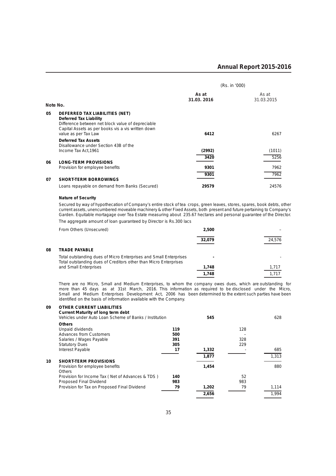|    |                                                                                                                                                                                                    | (Rs. in '000)       |                     |
|----|----------------------------------------------------------------------------------------------------------------------------------------------------------------------------------------------------|---------------------|---------------------|
|    | Note No.                                                                                                                                                                                           | As at<br>31.03.2016 | As at<br>31.03.2015 |
| 05 | DEFERRED TAX LIABILITIES (NET)<br><b>Deferred Tax Liability</b><br>Difference between net block value of depreciable<br>Capital Assets as per books vis a vis written down<br>value as per Tax Law | 6412                | 6267                |
|    | <b>Deferred Tax Assets</b><br>Disallowance under Section 43B of the<br>Income Tax Act, 1961                                                                                                        | (2992)              | (1011)              |
| 06 | <b>LONG-TERM PROVISIONS</b><br>Provision for employee benefits                                                                                                                                     | 3420<br>9301        | 5256<br>7962        |
| 07 | <b>SHORT TERM BORROWINGS</b>                                                                                                                                                                       | 9301<br>29579       | 7962<br>24576       |
|    | Loans repayable on demand from Banks (Secured)                                                                                                                                                     |                     |                     |

#### **Nature of Security**

Secured by way of hypothecation of Company's entire stock of tea crops, green leaves, stores, spares, book debts, other current assets, unencumbered moveable machinery & other Fixed Assets, both present and future pertaining to Company's Garden. Equitable mortagage over Tea Estate measuring about 235.67 hectares and personal guarantee of the Director.

The aggregate amount of loan guaranteed by Director is Rs.300 lacs

|    | From Others (Unsecured)                                                                                                               | 2.500  |        |
|----|---------------------------------------------------------------------------------------------------------------------------------------|--------|--------|
|    |                                                                                                                                       | 32.079 | 24.576 |
| 08 | TRADE PAYABLE                                                                                                                         |        |        |
|    | Total outstanding dues of Micro Enterprises and Small Enterprises<br>Total outstanding dues of Creditors other than Micro Enterprises |        |        |
|    | and Small Enterprises                                                                                                                 | 1.748  | 1.717  |
|    |                                                                                                                                       | 1.748  | 1.717  |

There are no Micro, Small and Medium Enterprises, to whom the company owes dues, which are outstanding for more than 45 days as at 31st March, 2016. This information as required to be disclosed under the Micro, Small and Medium Enterprises Development Act, 2006 has been determined to the extent such parties have been identified on the basis of information available with the Company.

| 09 | <b>OTHER CURRENT LIABILITIES</b>                                                             |     |       |     |       |
|----|----------------------------------------------------------------------------------------------|-----|-------|-----|-------|
|    | Current Maturity of long term debt<br>Vehicles under Auto Loan Scheme of Banks / Institution |     | 545   |     | 628   |
|    | <b>Others</b>                                                                                |     |       |     |       |
|    | Unpaid dividends                                                                             | 119 |       | 128 |       |
|    | Advances from Customers                                                                      | 500 |       |     |       |
|    | Salaries / Wages Payable                                                                     | 391 |       | 328 |       |
|    | <b>Statutory Dues</b>                                                                        | 305 |       | 229 |       |
|    | Interest Payable                                                                             | 17  | 1,332 |     | 685   |
|    |                                                                                              |     | 1,877 |     | 1.313 |
| 10 | SHORT TERM PROVISIONS                                                                        |     |       |     |       |
|    | Provision for employee benefits                                                              |     | 1.454 |     | 880   |
|    | <b>Others</b>                                                                                |     |       |     |       |
|    | Provision for Income Tax (Net of Advances & TDS)                                             | 140 |       | 52  |       |
|    | Proposed Final Dividend                                                                      | 983 |       | 983 |       |
|    | Provision for Tax on Proposed Final Dividend                                                 | 79  | 1,202 | 79  | 1,114 |
|    |                                                                                              |     | 2,656 |     | 1.994 |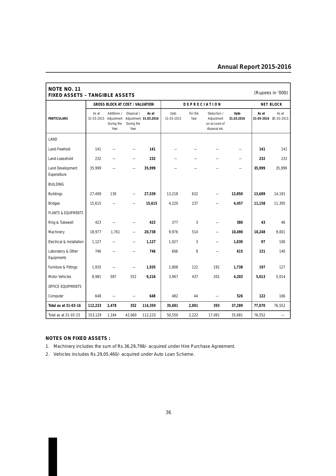| <b>NOTE NO. 11</b><br>(Rupees in '000)<br><b>FIXED ASSETS - TANGIBLE ASSETS</b> |                     |                                                 |                                  |                                |                     |                 |                                                             |                    |        |                                |
|---------------------------------------------------------------------------------|---------------------|-------------------------------------------------|----------------------------------|--------------------------------|---------------------|-----------------|-------------------------------------------------------------|--------------------|--------|--------------------------------|
|                                                                                 |                     | <b>GROSS BLOCK AT COST / VALUATION</b>          |                                  |                                | <b>DEPRECIATION</b> |                 |                                                             |                    |        | <b>NET BLOCK</b>               |
| <b>PARTICULARS</b>                                                              | As at<br>31-03-2015 | Additions /<br>Adjustment<br>During the<br>Year | Disposal /<br>During the<br>Year | As at<br>Adjustment 31.03.2016 | Upto<br>31-03-2015  | For the<br>Year | Deduction /<br>Adjustment<br>on account of<br>disposal etc. | Upto<br>31.03.2016 | As at  | As at<br>31-03-2016 31-03-2015 |
| LAND                                                                            |                     |                                                 |                                  |                                |                     |                 |                                                             |                    |        |                                |
| Land-Freehold                                                                   | 141                 |                                                 |                                  | 141                            |                     |                 |                                                             |                    | 141    | 141                            |
| Land-Leasehold                                                                  | 232                 |                                                 |                                  | 232                            |                     |                 |                                                             |                    | 232    | 232                            |
| Land Development<br>Expenditure                                                 | 35.999              |                                                 |                                  | 35,999                         |                     |                 |                                                             |                    | 35,999 | 35,999                         |
| <b>BUILDING</b>                                                                 |                     |                                                 |                                  |                                |                     |                 |                                                             |                    |        |                                |
| <b>Buildings</b>                                                                | 27,409              | 130                                             |                                  | 27,539                         | 13,218              | 632             |                                                             | 13,850             | 13,689 | 14,191                         |
| <b>Bridges</b>                                                                  | 15,615              |                                                 |                                  | 15,615                         | 4,220               | 237             |                                                             | 4,457              | 11,158 | 11,395                         |
| PLANTS & EQUIPMENTS                                                             |                     |                                                 |                                  |                                |                     |                 |                                                             |                    |        |                                |
| Ring & Tubewell                                                                 | 423                 |                                                 |                                  | 423                            | 377                 | 3               |                                                             | 380                | 43     | 46                             |
| Machinery                                                                       | 18,977              | 1,761                                           |                                  | 20,738                         | 9,976               | 514             |                                                             | 10,490             | 10,248 | 9,001                          |
| Electrical & Installation                                                       | 1,127               |                                                 |                                  | 1,127                          | 1,027               | 3               |                                                             | 1,030              | 97     | 100                            |
| Laboratory & Other<br>Equipments                                                | 746                 |                                                 |                                  | 746                            | 606                 | 9               |                                                             | 615                | 131    | 140                            |
| Furniture & Fittings                                                            | 1,935               |                                                 |                                  | 1,935                          | 1,808               | 122             | 192                                                         | 1,738              | 197    | 127                            |
| Motor Vehicles                                                                  | 8,981               | 587                                             | 352                              | 9,216                          | 3,967               | 437             | 201                                                         | 4,203              | 5,013  | 5,014                          |
| OFFICE EQUIPMENTS                                                               |                     |                                                 |                                  |                                |                     |                 |                                                             |                    |        |                                |
| Computer                                                                        | 648                 |                                                 |                                  | 648                            | 482                 | 44              |                                                             | 526                | 122    | 166                            |
| Total as at 31-03-16                                                            | 112,233             | 2,478                                           | 352                              | 114,359                        | 35,681              | 2,001           | 393                                                         | 37,289             | 77,070 | 76,552                         |
| Total as at 31-03-15                                                            | 153,129             | 1,164                                           | 42,060                           | 112,233                        | 50,550              | 2,222           | 17,091                                                      | 35,681             | 76,552 |                                |

# **NOTES ON FIXED ASSETS :**

1. Machinery includes the sum of Rs.36,29,798/- acquired under Hire Purchase Agreement.

2. Vehicles includes Rs.29,05,460/- acquired under Auto Loan Scheme.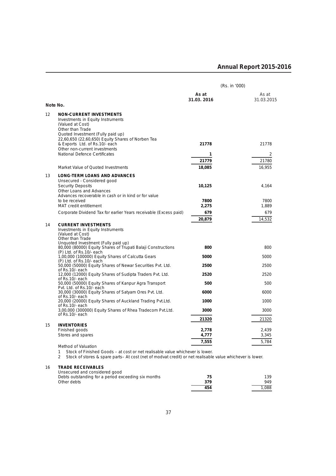|          |                                                                                                                                                                                                       | (Rs. in '000)       |                     |  |
|----------|-------------------------------------------------------------------------------------------------------------------------------------------------------------------------------------------------------|---------------------|---------------------|--|
| Note No. |                                                                                                                                                                                                       | As at<br>31.03.2016 | As at<br>31.03.2015 |  |
|          |                                                                                                                                                                                                       |                     |                     |  |
| 12       | <b>NON-CURRENT INVESTMENTS</b><br>Investments in Equity Instruments<br>(Valued at Cost)<br>Other than Trade<br>Quoted Investment (Fully paid up)<br>22,60,650 (22,60,650) Equity Shares of Norben Tea |                     |                     |  |
|          | & Exports Ltd. of Rs.10/- each                                                                                                                                                                        | 21778               | 21778               |  |
|          | Other non-current investments<br>National Defence Certificates                                                                                                                                        | 1                   | 2                   |  |
|          |                                                                                                                                                                                                       | 21779               | 21780               |  |
|          | Market Value of Quoted Investments                                                                                                                                                                    | 18,085              | 16,955              |  |
| 13       | LONG-TERM LOANS AND ADVANCES                                                                                                                                                                          |                     |                     |  |
|          | Unsecured - Considered good<br><b>Security Deposits</b><br>Other Loans and Advances                                                                                                                   | 10,125              | 4,164               |  |
|          | Advances recoverable in cash or in kind or for value<br>to be received<br>MAT credit entitlement                                                                                                      | 7800<br>2,275       | 7800<br>1,889       |  |
|          | Corporate Dividend Tax for earlier Years receivable (Excess paid)                                                                                                                                     | 679<br>20,879       | 679<br>14,532       |  |
| 14       | <b>CURRENT INVESTMENTS</b><br>Investments in Equity Instruments<br>(Valued at Cost)<br>Other than Trade<br>Unquoted Investment (Fully paid up)                                                        |                     |                     |  |
|          | 80,000 (80000) Equity Shares of Trupati Balaji Constructions<br>(P) Ltd. of Rs.10/- each                                                                                                              | 800                 | 800                 |  |
|          | 1,00,000 (100000) Equity Shares of Calcutta Gears<br>(P) Ltd. of Rs.10/- each                                                                                                                         | 5000                | 5000                |  |
|          | 50,000 (50000) Equity Shares of Newar Securities Pvt. Ltd.<br>of Rs.10/- each                                                                                                                         | 2500                | 2500                |  |
|          | 12,000 (12000) Equity Shares of Sudipta Traders Pvt. Ltd.<br>of Rs.10/- each                                                                                                                          | 2520                | 2520                |  |
|          | 50,000 (50000) Equity Shares of Kanpur Agra Transport<br>Pvt. Ltd. of Rs.10/- each                                                                                                                    | 500                 | 500                 |  |
|          | 30,000 (30000) Equity Shares of Satyam Ores Pvt. Ltd.<br>of Rs.10/- each                                                                                                                              | 6000                | 6000                |  |
|          | 20,000 (20000) Equity Shares of Auckland Trading Pvt.Ltd.<br>of Rs.10/- each                                                                                                                          | 1000                | 1000                |  |
|          | 3,00,000 (300000) Equity Shares of Rhea Tradecom Pvt.Ltd.<br>of Rs.10/- each                                                                                                                          | 3000                | 3000                |  |
|          |                                                                                                                                                                                                       | 21320               | 21320               |  |
| 15       | <b>INVENTORIES</b><br>Finished goods                                                                                                                                                                  | 2,778               | 2,439               |  |
|          | Stores and spares                                                                                                                                                                                     | 4,777               | 3,345               |  |
|          |                                                                                                                                                                                                       | 7,555               | 5,784               |  |
|          | Method of Valuation<br>Stock of Finished Goods - at cost or net realisable value whichever is lower.<br>1                                                                                             |                     |                     |  |

2 Stock of stores & spare parts– At cost (net of modvat credit) or net realisable value whichever is lower.

# 16 **TRADE RECEIVABLES** Unsecured and considered good

| <u>UITSECULED AND CONSIDERED QUOD.</u>              |     |       |
|-----------------------------------------------------|-----|-------|
| Debts outstanding for a period exceeding six months |     | 139   |
| Other debts                                         | 379 | 949   |
|                                                     | 454 | 1.088 |
|                                                     |     |       |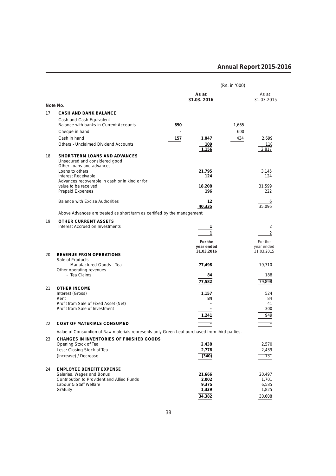|    |                                                                                               | (Rs. in '000) |                 |       |                |
|----|-----------------------------------------------------------------------------------------------|---------------|-----------------|-------|----------------|
|    |                                                                                               |               | As at           |       | As at          |
|    |                                                                                               |               | 31.03.2016      |       | 31.03.2015     |
|    | Note No.                                                                                      |               |                 |       |                |
| 17 | <b>CASH AND BANK BALANCE</b>                                                                  |               |                 |       |                |
|    | Cash and Cash Equivalent<br>Balance with banks in Current Accounts                            | 890           |                 | 1,665 |                |
|    | Cheque in hand                                                                                |               |                 | 600   |                |
|    | Cash in hand                                                                                  | 157           | 1,047           | 434   | 2,699          |
|    | <b>Others - Unclaimed Dividend Accounts</b>                                                   |               | 109<br>1,156    |       | 118<br>2,817   |
| 18 | SHORT-TERM LOANS AND ADVANCES                                                                 |               |                 |       |                |
|    | Unsecured and considered good<br>Other Loans and advances                                     |               |                 |       |                |
|    | Loans to others                                                                               |               | 21,795          |       | 3,145          |
|    | Interest Receivable                                                                           |               | 124             |       | 124            |
|    | Advances recoverable in cash or in kind or for                                                |               |                 |       |                |
|    | value to be received<br><b>Prepaid Expenses</b>                                               |               | 18,208<br>196   |       | 31,599<br>222  |
|    | <b>Balance with Excise Authorities</b>                                                        |               | $-12$<br>40,335 |       | 6<br>35,096    |
|    | Above Advances are treated as short term as certified by the management.                      |               |                 |       |                |
| 19 | <b>OTHER CURRENT ASSETS</b>                                                                   |               |                 |       |                |
|    | Interest Accrued on Investments                                                               |               | 1               |       | 2              |
|    |                                                                                               |               | 1               |       | $\overline{2}$ |
|    |                                                                                               |               | For the         |       | For the        |
|    |                                                                                               |               | year ended      |       | year ended     |
| 20 | <b>REVENUE FROM OPERATIONS</b>                                                                |               | 31.03.2016      |       | 31.03.2015     |
|    | Sale of Products                                                                              |               |                 |       |                |
|    | - Manufactured Goods - Tea<br>Other operating revenues                                        |               | 77,498          |       | 79,710         |
|    | - Tea Claims                                                                                  |               | 84              |       | 188            |
|    |                                                                                               |               | 77,582          |       | 79,898         |
| 21 | <b>OTHER INCOME</b>                                                                           |               |                 |       |                |
|    | Interest (Gross)                                                                              |               | 1,157           |       | 524            |
|    | Rent<br>Profit from Sale of Fixed Asset (Net)                                                 |               | 84              |       | 84<br>41       |
|    | Profit from Sale of Investment                                                                |               |                 |       | 300            |
|    |                                                                                               |               | 1,241           |       | 949            |
| 22 | <b>COST OF MATERIALS CONSUMED</b>                                                             |               |                 |       |                |
|    | Value of Consumtion of Raw materials represents only Green Leaf purchased from third parties. |               |                 |       |                |
| 23 | CHANGES IN INVENTORIES OF FINISHED GOODS                                                      |               |                 |       |                |
|    | Opening Stock of Tea                                                                          |               | 2,438           |       | 2,570          |
|    | Less: Closing Stock of Tea                                                                    |               | 2,778           |       | 2,439          |
|    | (Increase) / Decrease                                                                         |               | (340)           |       | 131            |
| 24 | <b>EMPLOYEE BENEFIT EXPENSE</b>                                                               |               |                 |       |                |
|    | Salaries, Wages and Bonus                                                                     |               | 21,666          |       | 20,497         |
|    | Contribution to Provident and Allied Funds                                                    |               | 2,002           |       | 1,701          |
|    | Labour & Staff Welfare<br>Gratuity                                                            |               | 9,375<br>1,339  |       | 6,585<br>1,825 |
|    |                                                                                               |               | 34,382          |       | 30,608         |
|    |                                                                                               |               |                 |       |                |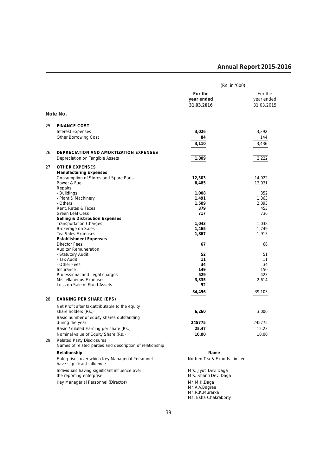|     |                                                                                       | (Rs. in '000)                                 |                                     |  |
|-----|---------------------------------------------------------------------------------------|-----------------------------------------------|-------------------------------------|--|
|     |                                                                                       | For the<br>year ended<br>31.03.2016           | For the<br>year ended<br>31.03.2015 |  |
|     | Note No.                                                                              |                                               |                                     |  |
| 25  | <b>FINANCE COST</b>                                                                   |                                               |                                     |  |
|     | Interest Expenses                                                                     | 3,026                                         | 3,292                               |  |
|     | Other Borrowing Cost                                                                  | 84                                            | 144                                 |  |
|     |                                                                                       | 3,110                                         | 3,436                               |  |
| 26  | DEPRECIATION AND AMORTIZATION EXPENSES                                                |                                               |                                     |  |
|     | Depreciation on Tangible Assets                                                       | 1,809                                         | 2,222                               |  |
| 27  | <b>OTHER EXPENSES</b>                                                                 |                                               |                                     |  |
|     | <b>Manufacturing Expenses</b>                                                         |                                               |                                     |  |
|     | Consumption of Stores and Spare Parts                                                 | 12,303                                        | 14,022                              |  |
|     | Power & Fuel<br>Repairs                                                               | 8,485                                         | 12,031                              |  |
|     | - Buildings                                                                           | 1,008                                         | 352                                 |  |
|     | - Plant & Machinery                                                                   | 1,491                                         | 1,363                               |  |
|     | - Others                                                                              | 1,509                                         | 2,093                               |  |
|     | Rent, Rates & Taxes                                                                   | 379                                           | 453                                 |  |
|     | Green Leaf Cess                                                                       | 717                                           | 736                                 |  |
|     | <b>Selling &amp; Distribution Expenses</b>                                            |                                               |                                     |  |
|     | <b>Transportation Charges</b><br>Brokerage on Sales                                   | 1,043                                         | 1,038                               |  |
|     | Tea Sales Expenses                                                                    | 1,465<br>1,867                                | 1,749<br>1,915                      |  |
|     | <b>Establishment Expenses</b>                                                         |                                               |                                     |  |
|     | Director Fees                                                                         | 67                                            | 68                                  |  |
|     | <b>Auditor Remuneration</b>                                                           |                                               |                                     |  |
|     | - Statutory Audit                                                                     | 52                                            | 51                                  |  |
|     | - Tax Audit                                                                           | 11                                            | 11                                  |  |
|     | - Other Fees                                                                          | 34                                            | 34                                  |  |
|     | Insurance                                                                             | 149                                           | 150                                 |  |
|     | Professional and Legal charges<br>Miscellaneous Expenses                              | 529<br>3,335                                  | 423<br>2,614                        |  |
|     | Loss on Sale of Fixed Assets                                                          | 92                                            |                                     |  |
|     |                                                                                       | 34,496                                        | 39,103                              |  |
| 28  | <b>EARNING PER SHARE (EPS)</b>                                                        |                                               |                                     |  |
|     | Net Profit after tax, attributable to the equity                                      |                                               |                                     |  |
|     | share holders (Rs.)                                                                   | 6,260                                         | 3,006                               |  |
|     | Basic number of equity shares outstanding                                             |                                               |                                     |  |
|     | during the year                                                                       | 245775                                        | 245775                              |  |
|     | Basic / diluted Earning per share (Rs.)                                               | 25.47                                         | 12.23                               |  |
|     | Nominal value of Equity Share (Rs.)                                                   | 10.00                                         | 10.00                               |  |
| 29. | Related Party Disclosures<br>Names of related parties and description of relationship |                                               |                                     |  |
|     | Relationship                                                                          | Name                                          |                                     |  |
|     | Enterprises over which Key Managerial Personnel<br>have significant influence         | Norben Tea & Exports Limited                  |                                     |  |
|     | Individuals having significant influence over<br>the reporting enterprise             | Mrs. Jyoti Devi Daga<br>Mrs. Shanti Devi Daga |                                     |  |
|     | Key Managerial Personnel (Director)                                                   | Mr. M.K.Daga<br>Mr. A.V.Bagree                |                                     |  |

Mr. R.K.Murarka Ms. Esha Chakraborty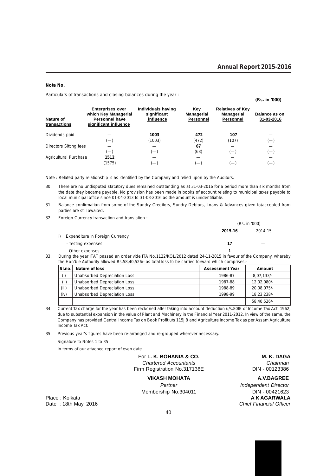**(Rs. in '000)**

#### **Note No.**

Particulars of transactions and closing balances during the year :

| Nature of<br>transactions | <b>Enterprises over</b><br>which Key Managerial<br><b>Personnel have</b><br>significant influence | Individuals having<br>significant<br>influence | Key<br><b>Managerial</b><br>Personnel | <b>Relatives of Key</b><br><b>Managerial</b><br>Personnel | <b>Balance as on</b><br>31-03-2016 |
|---------------------------|---------------------------------------------------------------------------------------------------|------------------------------------------------|---------------------------------------|-----------------------------------------------------------|------------------------------------|
| Dividends paid            |                                                                                                   | 1003                                           | 472                                   | 107                                                       |                                    |
|                           | $(-)$                                                                                             | (1003)                                         | (472)                                 | (107)                                                     | (—)                                |
| Directors Sitting fees    |                                                                                                   |                                                | 67                                    |                                                           |                                    |
|                           | $(-)$                                                                                             | (—)                                            | (68)                                  | (—)                                                       | (—)                                |
| Agricultural Purchase     | 1512                                                                                              |                                                |                                       |                                                           |                                    |
|                           | (1575)                                                                                            | $\qquad \qquad -$                              | $-$                                   | $-$                                                       | $\overline{\phantom{0}}$           |

Note : Related party relationship is as identified by the Company and relied upon by the Auditors.

- 30. There are no undisputed statutory dues remained outstanding as at 31-03-2016 for a period more than six months from the date they became payable. No provision has been made in books of account relating to municipal taxes payable to local municipal office since 01-04-2013 to 31-03-2016 as the amount is unidentifiable.
- 31. Balance confirmation from some of the Sundry Creditors, Sundry Debtors, Loans & Advances given to/accepted from parties are still awaited.
- 32. Foreign Currency transaction and translation :

|    | $\cdot$                         |         | (Rs. in '000) |  |
|----|---------------------------------|---------|---------------|--|
|    |                                 | 2015-16 | 2014-15       |  |
| i) | Expenditure in Foreign Currency |         |               |  |
|    | - Testing expenses              | 17      |               |  |
|    | - Other expenses                |         |               |  |

33. During the year ITAT passed an order vide ITA No.1122/KOL/2012 dated 24-11-2015 in favour of the Company, whereby the Hon'ble Authority allowed Rs.58,40,526/- as total loss to be carried forward which comprises:-

| SI.no. | Nature of loss               | <b>Assessment Year</b> | Amount       |
|--------|------------------------------|------------------------|--------------|
| (i)    | Unabsorbed Depreciation Loss | 1986-87                | $8.07.133/-$ |
| (i)    | Unabsorbed Depreciation Loss | 1987-88                | 12.02.080/-  |
| (iii)  | Unabsorbed Depreciation Loss | 1988-89                | 20.08.075/-  |
| (iv)   | Unabsorbed Depreciation Loss | 1998-99                | 18.23.238/-  |
|        |                              |                        | 58,40,526/-  |

34. Current Tax charge for the year has been reckoned after taking into account deduction u/s.80IE of Income Tax Act, 1962, due to substantial expansion in the value of Plant and Machinery in the Financial Year 2011-2012. In view of the same, the Company has provided Central Income Tax on Book Profit u/s 115JB and Agriculture Income Tax as per Assam Agriculture Income Tax Act.

35. Previous year's figures have been re-arranged and re-grouped wherever necessary.

Signature to Notes 1 to 35

In terms of our attached report of even date.

#### For **L. K. BOHANIA & CO.** M. K. DAGA *Chartered Accountants Chairman* Firm Registration No.317136E

# **VIKASH MOHATA A.V.BAGREE**

Membership No.304011 DIN - 00421623

Place : Kolkata **A K AGARWALA** Date : 18th May, 2016 *Chief Financial Officer*

**Partner Independent Director**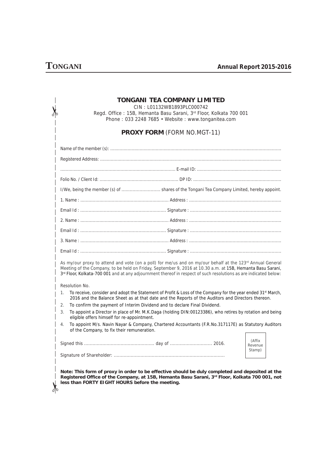| <b>TONGANI TEA COMPANY LIMITED</b><br>CIN: L01132WB1893PLC000742<br>Regd. Office: 15B, Hemanta Basu Sarani, 3rd Floor, Kolkata 700 001<br>Phone: 033 2248 7685 · Website: www.tonganitea.com                                                                                                                                                |  |  |  |  |  |  |
|---------------------------------------------------------------------------------------------------------------------------------------------------------------------------------------------------------------------------------------------------------------------------------------------------------------------------------------------|--|--|--|--|--|--|
| <b>PROXY FORM (FORM NO.MGT-11)</b>                                                                                                                                                                                                                                                                                                          |  |  |  |  |  |  |
|                                                                                                                                                                                                                                                                                                                                             |  |  |  |  |  |  |
|                                                                                                                                                                                                                                                                                                                                             |  |  |  |  |  |  |
|                                                                                                                                                                                                                                                                                                                                             |  |  |  |  |  |  |
| I/We, being the member (s) of  shares of the Tongani Tea Company Limited, hereby appoint.                                                                                                                                                                                                                                                   |  |  |  |  |  |  |
|                                                                                                                                                                                                                                                                                                                                             |  |  |  |  |  |  |
|                                                                                                                                                                                                                                                                                                                                             |  |  |  |  |  |  |
|                                                                                                                                                                                                                                                                                                                                             |  |  |  |  |  |  |
|                                                                                                                                                                                                                                                                                                                                             |  |  |  |  |  |  |
|                                                                                                                                                                                                                                                                                                                                             |  |  |  |  |  |  |
|                                                                                                                                                                                                                                                                                                                                             |  |  |  |  |  |  |
| As my/our proxy to attend and vote (on a poll) for me/us and on my/our behalf at the 123rd Annual General<br>Meeting of the Company, to be held on Friday, September 9, 2016 at 10.30 a.m. at 15B, Hemanta Basu Sarani,<br>3rd Floor, Kolkata-700 001 and at any adjournment thereof in respect of such resolutions as are indicated below: |  |  |  |  |  |  |
| Resolution No.                                                                                                                                                                                                                                                                                                                              |  |  |  |  |  |  |
| To receive, consider and adopt the Statement of Profit & Loss of the Company for the year ended 31 <sup>st</sup> March,<br>1.<br>2016 and the Balance Sheet as at that date and the Reports of the Auditors and Directors thereon.                                                                                                          |  |  |  |  |  |  |
| To confirm the payment of Interim Dividend and to declare Final Dividend.<br>2.                                                                                                                                                                                                                                                             |  |  |  |  |  |  |
| To appoint a Director in place of Mr. M.K.Daga (holding DIN:00123386), who retires by rotation and being<br>3.<br>eligible offers himself for re-appointment.                                                                                                                                                                               |  |  |  |  |  |  |
| To appoint M/s. Navin Nayar & Company, Chartered Accountants (F.R.No.317117E) as Statutory Auditors<br>4.<br>of the Company, to fix their remuneration.                                                                                                                                                                                     |  |  |  |  |  |  |
| (Affix<br>Revenue<br>Stamp)                                                                                                                                                                                                                                                                                                                 |  |  |  |  |  |  |
|                                                                                                                                                                                                                                                                                                                                             |  |  |  |  |  |  |
| Note: This form of proxy in order to be effective should be duly completed and deposited at the<br>Registered Office of the Company, at 15B, Hemanta Basu Sarani, 3rd Floor, Kolkata 700 001, not<br>less than FORTY EIGHT HOURS before the meeting.                                                                                        |  |  |  |  |  |  |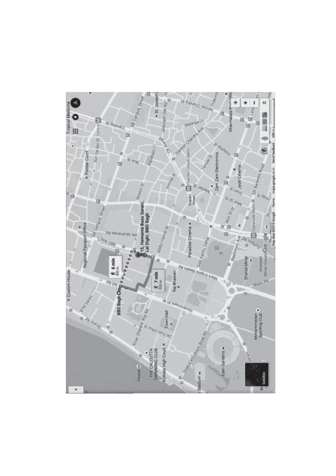